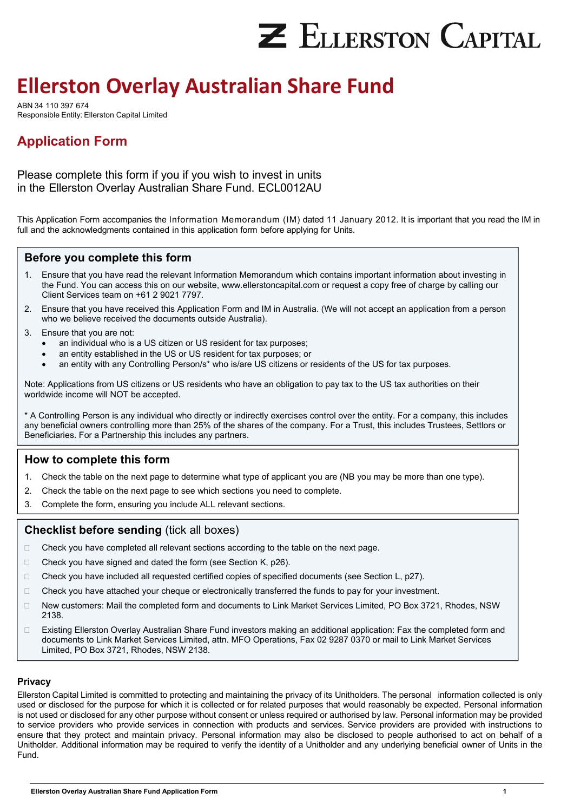# **Z ELLERSTON CAPITAL**

## **Ellerston Overlay Australian Share Fund**

ABN 34 110 397 674 Responsible Entity: Ellerston Capital Limited

## **Application Form**

Please complete this form if you if you wish to invest in units in the Ellerston Overlay Australian Share Fund. ECL0012AU

This Application Form accompanies the Information Memorandum (IM) dated 11 January 2012. It is important that you read the IM in full and the acknowledgments contained in this application form before applying for Units.

## **Before you complete this form**

- 1. Ensure that you have read the relevant Information Memorandum which contains important information about investing in the Fund. You can access this on our website, www.ellerstoncapital.com or request a copy free of charge by calling our Client Services team on +61 2 9021 7797.
- 2. Ensure that you have received this Application Form and IM in Australia. (We will not accept an application from a person who we believe received the documents outside Australia).
- 3. Ensure that you are not:
	- an individual who is a US citizen or US resident for tax purposes;
	- an entity established in the US or US resident for tax purposes; or
	- an entity with any Controlling Person/s\* who is/are US citizens or residents of the US for tax purposes.

Note: Applications from US citizens or US residents who have an obligation to pay tax to the US tax authorities on their worldwide income will NOT be accepted.

\* A Controlling Person is any individual who directly or indirectly exercises control over the entity. For a company, this includes any beneficial owners controlling more than 25% of the shares of the company. For a Trust, this includes Trustees, Settlors or Beneficiaries. For a Partnership this includes any partners.

## **How to complete this form**

- 1. Check the table on the next page to determine what type of applicant you are (NB you may be more than one type).
- 2. Check the table on the next page to see which sections you need to complete.
- 3. Complete the form, ensuring you include ALL relevant sections.

## **Checklist before sending** (tick all boxes)

- □ Check you have completed all relevant sections according to the table on the next page.
- □ Check you have signed and dated the form (see Section K, p26).
- □ Check you have included all requested certified copies of specified documents (see Section L, p27).
- □ Check you have attached your cheque or electronically transferred the funds to pay for your investment.
- New customers: Mail the completed form and documents to Link Market Services Limited, PO Box 3721, Rhodes, NSW 2138.
- □ Existing Ellerston Overlay Australian Share Fund investors making an additional application: Fax the completed form and documents to Link Market Services Limited, attn. MFO Operations, Fax 02 9287 0370 or mail to Link Market Services Limited, PO Box 3721, Rhodes, NSW 2138.

## **Privacy**

Ellerston Capital Limited is committed to protecting and maintaining the privacy of its Unitholders. The personal information collected is only used or disclosed for the purpose for which it is collected or for related purposes that would reasonably be expected. Personal information is not used or disclosed for any other purpose without consent or unless required or authorised by law. Personal information may be provided to service providers who provide services in connection with products and services. Service providers are provided with instructions to ensure that they protect and maintain privacy. Personal information may also be disclosed to people authorised to act on behalf of a Unitholder. Additional information may be required to verify the identity of a Unitholder and any underlying beneficial owner of Units in the Fund.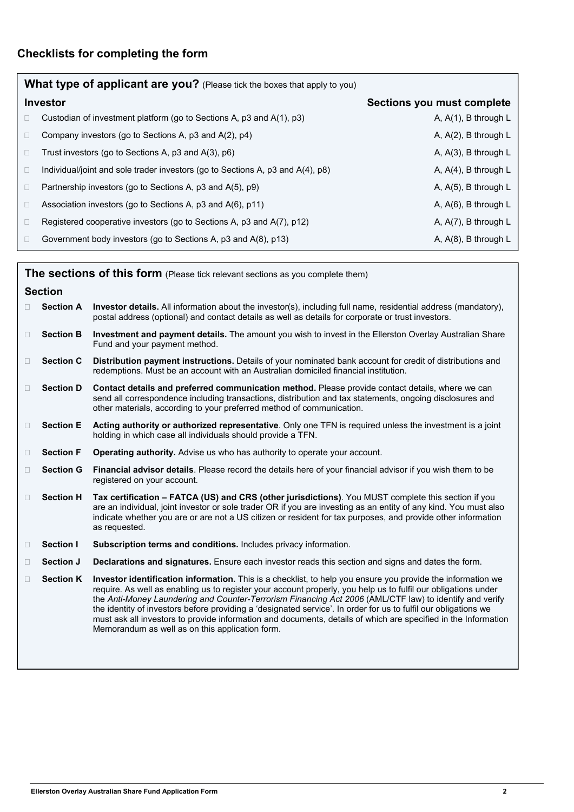|        | What type of applicant are you? (Please tick the boxes that apply to you)      |                            |  |  |  |  |  |
|--------|--------------------------------------------------------------------------------|----------------------------|--|--|--|--|--|
|        | <b>Investor</b>                                                                | Sections you must complete |  |  |  |  |  |
| $\Box$ | Custodian of investment platform (go to Sections A, p3 and A(1), p3)           | A, $A(1)$ , B through L    |  |  |  |  |  |
| $\Box$ | Company investors (go to Sections A, p3 and A(2), p4)                          | A, $A(2)$ , B through L    |  |  |  |  |  |
| $\Box$ | Trust investors (go to Sections A, p3 and A(3), p6)                            | A, A(3), B through L       |  |  |  |  |  |
| $\Box$ | Individual/joint and sole trader investors (go to Sections A, p3 and A(4), p8) | A, $A(4)$ , B through L    |  |  |  |  |  |
| $\Box$ | Partnership investors (go to Sections A, p3 and A(5), p9)                      | A, A(5), B through L       |  |  |  |  |  |
| $\Box$ | Association investors (go to Sections A, p3 and A(6), p11)                     | A, $A(6)$ , B through L    |  |  |  |  |  |
| $\Box$ | Registered cooperative investors (go to Sections A, p3 and A(7), p12)          | A, $A(7)$ , B through L    |  |  |  |  |  |
| $\Box$ | Government body investors (go to Sections A, p3 and A(8), p13)                 | A, $A(8)$ , B through L    |  |  |  |  |  |

|        | <b>The sections of this form</b> (Please tick relevant sections as you complete them) |                                                                                                                                                                                                                                                                                                                                                                                                                                                                                                                                                                                                                                  |  |  |  |
|--------|---------------------------------------------------------------------------------------|----------------------------------------------------------------------------------------------------------------------------------------------------------------------------------------------------------------------------------------------------------------------------------------------------------------------------------------------------------------------------------------------------------------------------------------------------------------------------------------------------------------------------------------------------------------------------------------------------------------------------------|--|--|--|
|        | <b>Section</b>                                                                        |                                                                                                                                                                                                                                                                                                                                                                                                                                                                                                                                                                                                                                  |  |  |  |
|        | <b>Section A</b>                                                                      | Investor details. All information about the investor(s), including full name, residential address (mandatory),<br>postal address (optional) and contact details as well as details for corporate or trust investors.                                                                                                                                                                                                                                                                                                                                                                                                             |  |  |  |
| $\Box$ | <b>Section B</b>                                                                      | Investment and payment details. The amount you wish to invest in the Ellerston Overlay Australian Share<br>Fund and your payment method.                                                                                                                                                                                                                                                                                                                                                                                                                                                                                         |  |  |  |
| $\Box$ | <b>Section C</b>                                                                      | Distribution payment instructions. Details of your nominated bank account for credit of distributions and<br>redemptions. Must be an account with an Australian domiciled financial institution.                                                                                                                                                                                                                                                                                                                                                                                                                                 |  |  |  |
| $\Box$ | <b>Section D</b>                                                                      | Contact details and preferred communication method. Please provide contact details, where we can<br>send all correspondence including transactions, distribution and tax statements, ongoing disclosures and<br>other materials, according to your preferred method of communication.                                                                                                                                                                                                                                                                                                                                            |  |  |  |
| П      | <b>Section E</b>                                                                      | Acting authority or authorized representative. Only one TFN is required unless the investment is a joint<br>holding in which case all individuals should provide a TFN.                                                                                                                                                                                                                                                                                                                                                                                                                                                          |  |  |  |
| $\Box$ | <b>Section F</b>                                                                      | Operating authority. Advise us who has authority to operate your account.                                                                                                                                                                                                                                                                                                                                                                                                                                                                                                                                                        |  |  |  |
| $\Box$ | <b>Section G</b>                                                                      | Financial advisor details. Please record the details here of your financial advisor if you wish them to be<br>registered on your account.                                                                                                                                                                                                                                                                                                                                                                                                                                                                                        |  |  |  |
| $\Box$ | <b>Section H</b>                                                                      | Tax certification - FATCA (US) and CRS (other jurisdictions). You MUST complete this section if you<br>are an individual, joint investor or sole trader OR if you are investing as an entity of any kind. You must also<br>indicate whether you are or are not a US citizen or resident for tax purposes, and provide other information<br>as requested.                                                                                                                                                                                                                                                                         |  |  |  |
| $\Box$ | Section I                                                                             | Subscription terms and conditions. Includes privacy information.                                                                                                                                                                                                                                                                                                                                                                                                                                                                                                                                                                 |  |  |  |
| $\Box$ | Section J                                                                             | Declarations and signatures. Ensure each investor reads this section and signs and dates the form.                                                                                                                                                                                                                                                                                                                                                                                                                                                                                                                               |  |  |  |
| $\Box$ | <b>Section K</b>                                                                      | Investor identification information. This is a checklist, to help you ensure you provide the information we<br>require. As well as enabling us to register your account properly, you help us to fulfil our obligations under<br>the Anti-Money Laundering and Counter-Terrorism Financing Act 2006 (AML/CTF law) to identify and verify<br>the identity of investors before providing a 'designated service'. In order for us to fulfil our obligations we<br>must ask all investors to provide information and documents, details of which are specified in the Information<br>Memorandum as well as on this application form. |  |  |  |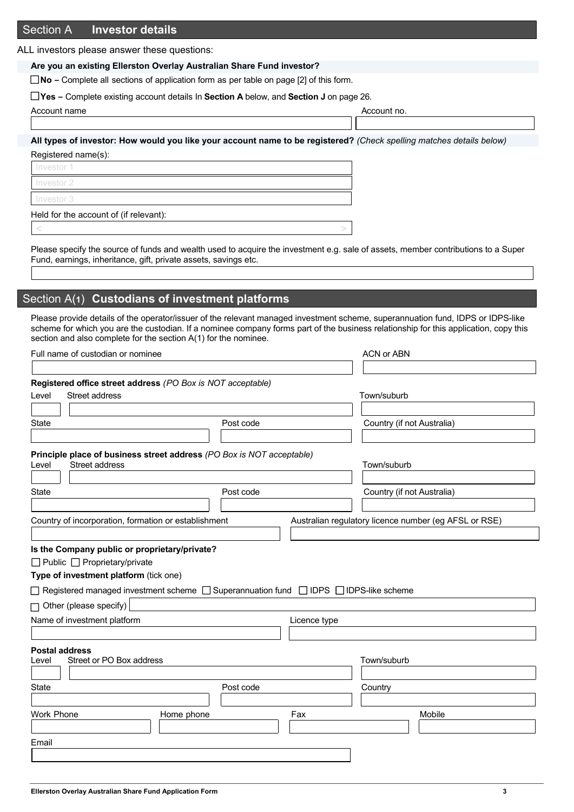## Section A **Investor details**

ALL investors please answer these questions:

**Are you an existing Ellerston Overlay Australian Share Fund investor?** 

 **No –** Complete all sections of application form as per table on page [2] of this form.

 **Yes –** Complete existing account details In **Section A** below, and **Section J** on page 26.

| Account name |  |  |  |  |  |  |
|--------------|--|--|--|--|--|--|
|--------------|--|--|--|--|--|--|

Account no.

**All types of investor: How would you like your account name to be registered?** *(Check spelling matches details below)*

Registered name(s):

Investor 2 Investor 3 Held for the account of (if relevant):  $\vert$  <  $\vert$   $>$   $\vert$   $>$   $\vert$   $>$   $\vert$   $>$   $\vert$   $>$   $\vert$   $>$   $\vert$   $>$   $\vert$   $>$   $\vert$   $>$   $\vert$   $>$   $\vert$   $>$   $\vert$   $>$   $\vert$   $>$   $\vert$   $>$   $\vert$   $>$   $\vert$   $>$   $\vert$   $>$   $\vert$   $>$   $\vert$   $>$   $\vert$   $>$   $\vert$   $>$   $\vert$   $>$   $\vert$   $>$   $\vert$   $>$ 

Please specify the source of funds and wealth used to acquire the investment e.g. sale of assets, member contributions to a Super Fund, earnings, inheritance, gift, private assets, savings etc.

## Section A(**1**) **Custodians of investment platforms**

Please provide details of the operator/issuer of the relevant managed investment scheme, superannuation fund, IDPS or IDPS-like scheme for which you are the custodian. If a nominee company forms part of the business relationship for this application, copy this section and also complete for the section A(1) for the nominee.

| Full name of custodian or nominee                                                                          |           |              | <b>ACN or ABN</b>          |                                                       |
|------------------------------------------------------------------------------------------------------------|-----------|--------------|----------------------------|-------------------------------------------------------|
|                                                                                                            |           |              |                            |                                                       |
| Registered office street address (PO Box is NOT acceptable)                                                |           |              |                            |                                                       |
| Street address<br>Level                                                                                    |           |              | Town/suburb                |                                                       |
|                                                                                                            |           |              |                            |                                                       |
| <b>State</b>                                                                                               | Post code |              | Country (if not Australia) |                                                       |
|                                                                                                            |           |              |                            |                                                       |
| Principle place of business street address (PO Box is NOT acceptable)<br>Street address<br>Level           |           |              | Town/suburb                |                                                       |
|                                                                                                            |           |              |                            |                                                       |
| <b>State</b>                                                                                               | Post code |              | Country (if not Australia) |                                                       |
|                                                                                                            |           |              |                            |                                                       |
| Country of incorporation, formation or establishment                                                       |           |              |                            | Australian regulatory licence number (eg AFSL or RSE) |
|                                                                                                            |           |              |                            |                                                       |
| Is the Company public or proprietary/private?                                                              |           |              |                            |                                                       |
| □ Public □ Proprietary/private                                                                             |           |              |                            |                                                       |
| Type of investment platform (tick one)                                                                     |           |              |                            |                                                       |
| $\Box$ Registered managed investment scheme $\Box$ Superannuation fund $\Box$ IDPS $\Box$ IDPS-like scheme |           |              |                            |                                                       |
| $\Box$ Other (please specify)                                                                              |           |              |                            |                                                       |
| Name of investment platform                                                                                |           | Licence type |                            |                                                       |
|                                                                                                            |           |              |                            |                                                       |
| <b>Postal address</b>                                                                                      |           |              |                            |                                                       |
| Street or PO Box address<br>Level                                                                          |           |              | Town/suburb                |                                                       |
|                                                                                                            |           |              |                            |                                                       |
| <b>State</b>                                                                                               | Post code |              | Country                    |                                                       |
|                                                                                                            |           |              |                            |                                                       |
| <b>Work Phone</b><br>Home phone                                                                            |           | Fax          |                            | Mobile                                                |
|                                                                                                            |           |              |                            |                                                       |
| Email                                                                                                      |           |              |                            |                                                       |
|                                                                                                            |           |              |                            |                                                       |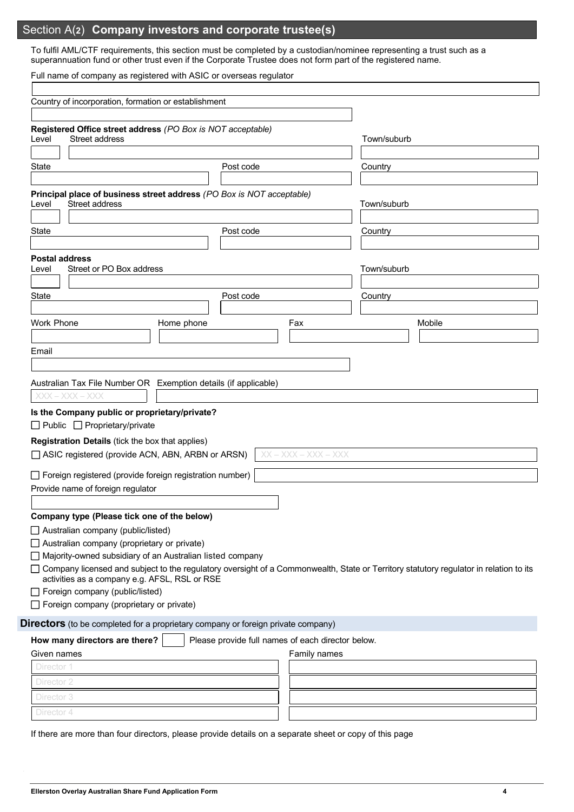## Section A(**2**) **Company investors and corporate trustee(s)**

To fulfil AML/CTF requirements, this section must be completed by a custodian/nominee representing a trust such as a superannuation fund or other trust even if the Corporate Trustee does not form part of the registered name.

Full name of company as registered with ASIC or overseas regulator

| Country of incorporation, formation or establishment                                                                                                                                                           |            |                                                   |                        |             |        |
|----------------------------------------------------------------------------------------------------------------------------------------------------------------------------------------------------------------|------------|---------------------------------------------------|------------------------|-------------|--------|
| Registered Office street address (PO Box is NOT acceptable)<br>Street address<br>Level                                                                                                                         |            |                                                   |                        | Town/suburb |        |
|                                                                                                                                                                                                                |            |                                                   |                        |             |        |
| State                                                                                                                                                                                                          |            | Post code                                         |                        | Country     |        |
|                                                                                                                                                                                                                |            |                                                   |                        |             |        |
| Principal place of business street address (PO Box is NOT acceptable)<br>Street address<br>Level                                                                                                               |            |                                                   |                        | Town/suburb |        |
|                                                                                                                                                                                                                |            |                                                   |                        |             |        |
| <b>State</b>                                                                                                                                                                                                   |            | Post code                                         |                        | Country     |        |
| <b>Postal address</b><br>Street or PO Box address<br>Level                                                                                                                                                     |            |                                                   |                        | Town/suburb |        |
|                                                                                                                                                                                                                |            |                                                   |                        |             |        |
| State                                                                                                                                                                                                          |            | Post code                                         |                        | Country     |        |
|                                                                                                                                                                                                                |            |                                                   |                        |             |        |
| <b>Work Phone</b>                                                                                                                                                                                              | Home phone |                                                   | Fax                    |             | Mobile |
|                                                                                                                                                                                                                |            |                                                   |                        |             |        |
| Email                                                                                                                                                                                                          |            |                                                   |                        |             |        |
|                                                                                                                                                                                                                |            |                                                   |                        |             |        |
| Australian Tax File Number OR Exemption details (if applicable)                                                                                                                                                |            |                                                   |                        |             |        |
| $XXX - XXX - XXX$<br>Is the Company public or proprietary/private?<br>$\Box$ Public $\Box$ Proprietary/private                                                                                                 |            |                                                   |                        |             |        |
|                                                                                                                                                                                                                |            |                                                   |                        |             |        |
|                                                                                                                                                                                                                |            |                                                   | $XX - XXX - XXX - XXX$ |             |        |
| Registration Details (tick the box that applies)<br>□ ASIC registered (provide ACN, ABN, ARBN or ARSN)<br>$\Box$ Foreign registered (provide foreign registration number)<br>Provide name of foreign regulator |            |                                                   |                        |             |        |
| Company type (Please tick one of the below)                                                                                                                                                                    |            |                                                   |                        |             |        |
| Australian company (public/listed)                                                                                                                                                                             |            |                                                   |                        |             |        |
| Australian company (proprietary or private)                                                                                                                                                                    |            |                                                   |                        |             |        |
| Majority-owned subsidiary of an Australian listed company<br>□ Company licensed and subject to the regulatory oversight of a Commonwealth, State or Territory statutory regulator in relation to its           |            |                                                   |                        |             |        |
| activities as a company e.g. AFSL, RSL or RSE<br>Foreign company (public/listed)                                                                                                                               |            |                                                   |                        |             |        |
| $\Box$ Foreign company (proprietary or private)                                                                                                                                                                |            |                                                   |                        |             |        |
| <b>Directors</b> (to be completed for a proprietary company or foreign private company)                                                                                                                        |            |                                                   |                        |             |        |
| How many directors are there?                                                                                                                                                                                  |            | Please provide full names of each director below. |                        |             |        |
| Given names                                                                                                                                                                                                    |            |                                                   | Family names           |             |        |
| Director 1                                                                                                                                                                                                     |            |                                                   |                        |             |        |
| Director 2                                                                                                                                                                                                     |            |                                                   |                        |             |        |
|                                                                                                                                                                                                                |            |                                                   |                        |             |        |
| Director 3<br>Director 4                                                                                                                                                                                       |            |                                                   |                        |             |        |

٦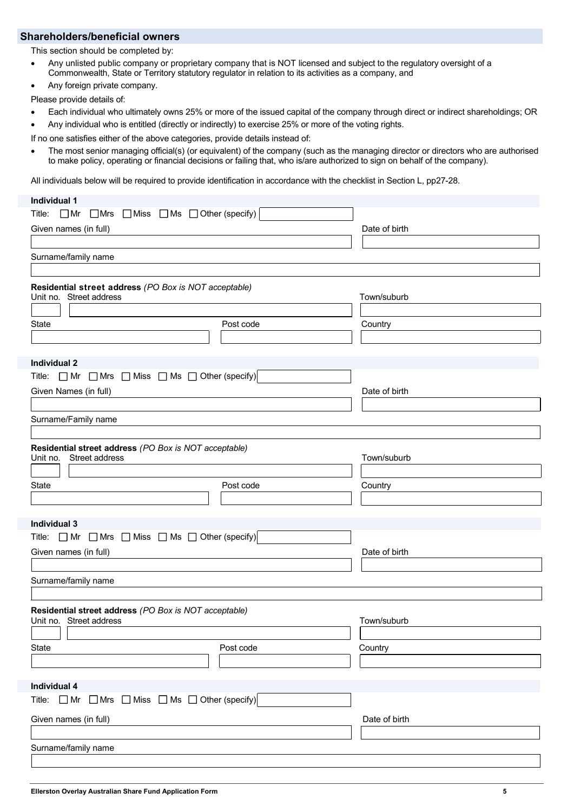## **Shareholders/beneficial owners**

This section should be completed by:

- Any unlisted public company or proprietary company that is NOT licensed and subject to the regulatory oversight of a Commonwealth, State or Territory statutory regulator in relation to its activities as a company, and
- Any foreign private company.

Please provide details of:

- Each individual who ultimately owns 25% or more of the issued capital of the company through direct or indirect shareholdings; OR
- Any individual who is entitled (directly or indirectly) to exercise 25% or more of the voting rights.

If no one satisfies either of the above categories, provide details instead of:

 The most senior managing official(s) (or equivalent) of the company (such as the managing director or directors who are authorised to make policy, operating or financial decisions or failing that, who is/are authorized to sign on behalf of the company).

All individuals below will be required to provide identification in accordance with the checklist in Section L, pp27-28.

## **Individual 1**  Title:  $\Box$  Mr  $\Box$  Mrs  $\Box$  Miss  $\Box$  Ms  $\Box$  Other (specify) Given names (in full) **Date of birth** Date of birth Date of birth Date of birth Date of birth Date of birth Date of birth Date of birth Date of birth Date of birth Date of Date of Date of Date of Date of Date of Date of Da Surname/family name **Residential street address** *(PO Box is NOT acceptable)* Unit no. Street address Town/suburb State **Country Country Country** Post code **Post code** Country **Individual 2**  Title:  $\Box$  Mr  $\Box$  Mrs  $\Box$  Miss  $\Box$  Ms  $\Box$  Other (specify) Given Names (in full) Contract the Contract of birth of birth and the Date of birth Date of birth Surname/Family name **Residential street address** *(PO Box is NOT acceptable)* Street address Town/suburb State **Country Country Country** Post code **Post code** Country **Individual 3**  Title:  $\Box$  Mr  $\Box$  Mrs  $\Box$  Miss  $\Box$  Ms  $\Box$  Other (specify) Given names (in full) **Date of birth** Date of birth Surname/family name **Residential street address** *(PO Box is NOT acceptable)* Unit no. Street address Town/suburb State **Country Country Country Country Post code** Country Country **Individual 4**  Title:  $\Box$  Mr  $\Box$  Mrs  $\Box$  Miss  $\Box$  Ms  $\Box$  Other (specify) Given names (in full) **Date of birth** Date of birth Surname/family name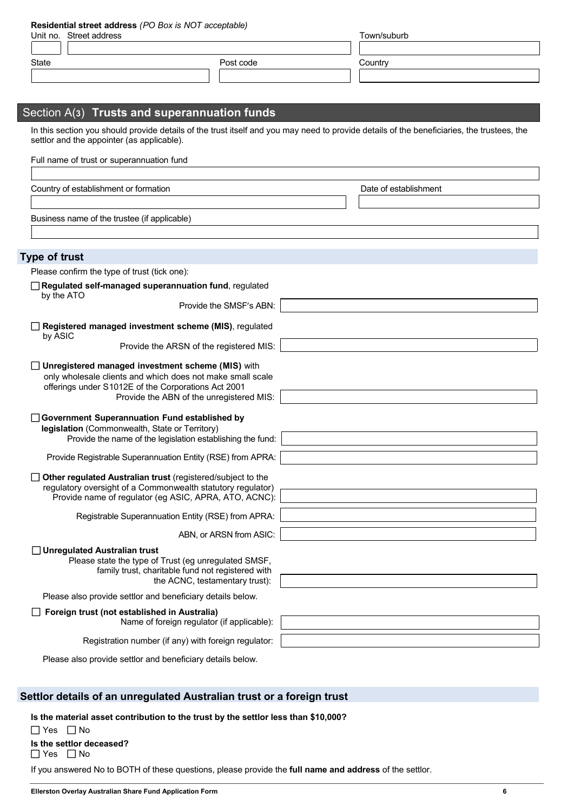|  | Residential street address (PO Box is NOT acceptable) |
|--|-------------------------------------------------------|
|--|-------------------------------------------------------|

| Unit no. Street address |           | Town/suburb |  |
|-------------------------|-----------|-------------|--|
|                         |           |             |  |
| State                   | Post code | Country     |  |
|                         |           |             |  |
|                         |           |             |  |
|                         |           |             |  |

## Section A(**3**) **Trusts and superannuation funds**

In this section you should provide details of the trust itself and you may need to provide details of the beneficiaries, the trustees, the settlor and the appointer (as applicable).

| Full name of trust or superannuation fund                                                                         |                       |
|-------------------------------------------------------------------------------------------------------------------|-----------------------|
|                                                                                                                   |                       |
| Country of establishment or formation                                                                             | Date of establishment |
|                                                                                                                   |                       |
| Business name of the trustee (if applicable)                                                                      |                       |
|                                                                                                                   |                       |
|                                                                                                                   |                       |
| <b>Type of trust</b>                                                                                              |                       |
| Please confirm the type of trust (tick one):                                                                      |                       |
| Regulated self-managed superannuation fund, regulated<br>by the ATO                                               |                       |
| Provide the SMSF's ABN:                                                                                           |                       |
| Registered managed investment scheme (MIS), regulated                                                             |                       |
| by ASIC                                                                                                           |                       |
| Provide the ARSN of the registered MIS:                                                                           |                       |
| Unregistered managed investment scheme (MIS) with                                                                 |                       |
| only wholesale clients and which does not make small scale<br>offerings under S1012E of the Corporations Act 2001 |                       |
| Provide the ABN of the unregistered MIS:                                                                          |                       |
|                                                                                                                   |                       |
| Government Superannuation Fund established by<br>legislation (Commonwealth, State or Territory)                   |                       |
| Provide the name of the legislation establishing the fund:                                                        |                       |
| Provide Registrable Superannuation Entity (RSE) from APRA:                                                        |                       |
| Other regulated Australian trust (registered/subject to the                                                       |                       |
| regulatory oversight of a Commonwealth statutory regulator)                                                       |                       |
| Provide name of regulator (eg ASIC, APRA, ATO, ACNC):                                                             |                       |
| Registrable Superannuation Entity (RSE) from APRA:                                                                |                       |
| ABN, or ARSN from ASIC:                                                                                           |                       |
| <b>Unregulated Australian trust</b>                                                                               |                       |
| Please state the type of Trust (eg unregulated SMSF,                                                              |                       |
| family trust, charitable fund not registered with<br>the ACNC, testamentary trust):                               |                       |
| Please also provide settlor and beneficiary details below.                                                        |                       |
| Foreign trust (not established in Australia)                                                                      |                       |
| Name of foreign regulator (if applicable):                                                                        |                       |
| Registration number (if any) with foreign regulator:                                                              |                       |

Please also provide settlor and beneficiary details below.

## **Settlor details of an unregulated Australian trust or a foreign trust**

**Is the material asset contribution to the trust by the settlor less than \$10,000?** 

 $\Box$  Yes  $\Box$  No **Is the settlor deceased?**   $\Box$  Yes  $\Box$  No

If you answered No to BOTH of these questions, please provide the **full name and address** of the settlor.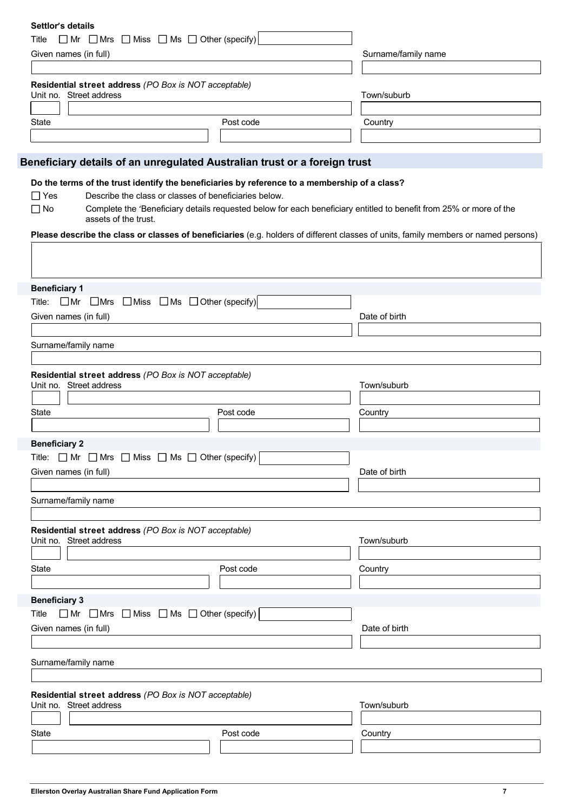| Settlor's details                                                                |                                                                                               |                                                                                                                                     |
|----------------------------------------------------------------------------------|-----------------------------------------------------------------------------------------------|-------------------------------------------------------------------------------------------------------------------------------------|
| Title                                                                            | $\Box$ Mr $\Box$ Mrs $\Box$ Miss $\Box$ Ms $\Box$ Other (specify)                             |                                                                                                                                     |
| Given names (in full)                                                            |                                                                                               | Surname/family name                                                                                                                 |
|                                                                                  |                                                                                               |                                                                                                                                     |
| Residential street address (PO Box is NOT acceptable)<br>Unit no. Street address |                                                                                               | Town/suburb                                                                                                                         |
|                                                                                  |                                                                                               |                                                                                                                                     |
| <b>State</b>                                                                     | Post code                                                                                     | Country                                                                                                                             |
|                                                                                  |                                                                                               |                                                                                                                                     |
|                                                                                  | Beneficiary details of an unregulated Australian trust or a foreign trust                     |                                                                                                                                     |
|                                                                                  |                                                                                               |                                                                                                                                     |
|                                                                                  | Do the terms of the trust identify the beneficiaries by reference to a membership of a class? |                                                                                                                                     |
| $\Box$ Yes                                                                       | Describe the class or classes of beneficiaries below.                                         |                                                                                                                                     |
| $\square$ No<br>assets of the trust.                                             |                                                                                               | Complete the 'Beneficiary details requested below for each beneficiary entitled to benefit from 25% or more of the                  |
|                                                                                  |                                                                                               | Please describe the class or classes of beneficiaries (e.g. holders of different classes of units, family members or named persons) |
|                                                                                  |                                                                                               |                                                                                                                                     |
|                                                                                  |                                                                                               |                                                                                                                                     |
|                                                                                  |                                                                                               |                                                                                                                                     |
| <b>Beneficiary 1</b>                                                             |                                                                                               |                                                                                                                                     |
| Title:                                                                           | $\Box$ Mr $\Box$ Mrs $\Box$ Miss $\Box$ Ms $\Box$ Other (specify)                             |                                                                                                                                     |
| Given names (in full)                                                            |                                                                                               | Date of birth                                                                                                                       |
|                                                                                  |                                                                                               |                                                                                                                                     |
| Surname/family name                                                              |                                                                                               |                                                                                                                                     |
|                                                                                  |                                                                                               |                                                                                                                                     |
| Residential street address (PO Box is NOT acceptable)                            |                                                                                               |                                                                                                                                     |
| Unit no. Street address                                                          |                                                                                               | Town/suburb                                                                                                                         |
|                                                                                  |                                                                                               |                                                                                                                                     |
| <b>State</b>                                                                     | Post code                                                                                     | Country                                                                                                                             |
|                                                                                  |                                                                                               |                                                                                                                                     |
| <b>Beneficiary 2</b>                                                             |                                                                                               |                                                                                                                                     |
| Title: $\Box$ Mr $\Box$ Mrs $\Box$ Miss $\Box$ Ms $\Box$ Other (specify)         |                                                                                               |                                                                                                                                     |
|                                                                                  |                                                                                               |                                                                                                                                     |
| Given names (in full)                                                            |                                                                                               | Date of birth                                                                                                                       |
|                                                                                  |                                                                                               |                                                                                                                                     |
| Surname/family name                                                              |                                                                                               |                                                                                                                                     |
|                                                                                  |                                                                                               |                                                                                                                                     |
| Residential street address (PO Box is NOT acceptable)                            |                                                                                               |                                                                                                                                     |
| Unit no. Street address                                                          |                                                                                               | Town/suburb                                                                                                                         |
|                                                                                  |                                                                                               |                                                                                                                                     |
| State                                                                            | Post code                                                                                     | Country                                                                                                                             |
|                                                                                  |                                                                                               |                                                                                                                                     |
| <b>Beneficiary 3</b>                                                             |                                                                                               |                                                                                                                                     |
| Title                                                                            | $\Box$ Mr $\Box$ Mrs $\Box$ Miss $\Box$ Ms $\Box$ Other (specify)                             |                                                                                                                                     |
| Given names (in full)                                                            |                                                                                               | Date of birth                                                                                                                       |
|                                                                                  |                                                                                               |                                                                                                                                     |
|                                                                                  |                                                                                               |                                                                                                                                     |
| Surname/family name                                                              |                                                                                               |                                                                                                                                     |
|                                                                                  |                                                                                               |                                                                                                                                     |
| Residential street address (PO Box is NOT acceptable)                            |                                                                                               |                                                                                                                                     |
| Unit no. Street address                                                          |                                                                                               | Town/suburb                                                                                                                         |
|                                                                                  |                                                                                               |                                                                                                                                     |
| State                                                                            | Post code                                                                                     | Country                                                                                                                             |
|                                                                                  |                                                                                               |                                                                                                                                     |
|                                                                                  |                                                                                               |                                                                                                                                     |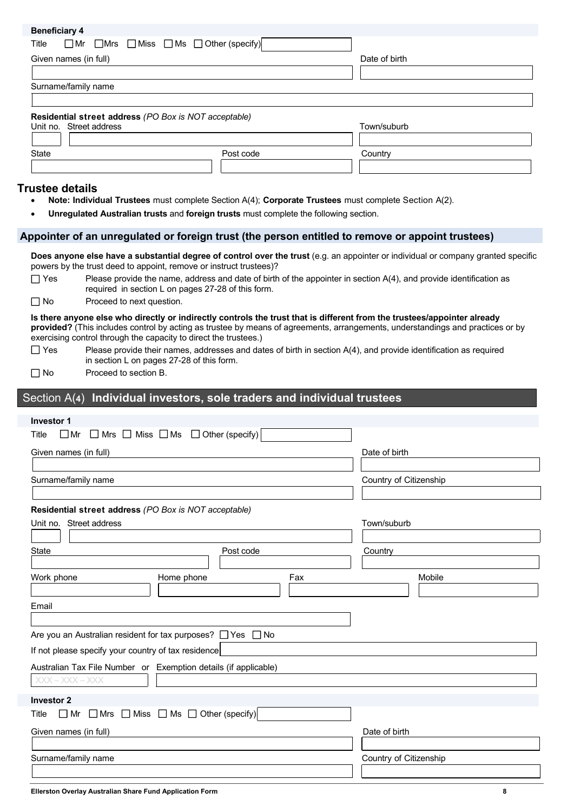| <b>Deliciiolai y 4</b>                                |                                                                   |               |
|-------------------------------------------------------|-------------------------------------------------------------------|---------------|
| Title                                                 | $\Box$ Mr $\Box$ Mrs $\Box$ Miss $\Box$ Ms $\Box$ Other (specify) |               |
| Given names (in full)                                 |                                                                   | Date of birth |
|                                                       |                                                                   |               |
| Surname/family name                                   |                                                                   |               |
|                                                       |                                                                   |               |
| Residential street address (PO Box is NOT acceptable) |                                                                   |               |
| Unit no. Street address                               |                                                                   | Town/suburb   |
|                                                       |                                                                   |               |
| State                                                 | Post code                                                         | Country       |
|                                                       |                                                                   |               |
|                                                       |                                                                   |               |

## **Trustee details**

**Beneficiary 4** 

- **Note: Individual Trustees** must complete Section A(4); **Corporate Trustees** must complete Section A(2).
- **Unregulated Australian trusts** and **foreign trusts** must complete the following section.

#### **Appointer of an unregulated or foreign trust (the person entitled to remove or appoint trustees)**

**Does anyone else have a substantial degree of control over the trust** (e.g. an appointer or individual or company granted specific powers by the trust deed to appoint, remove or instruct trustees)?

 $\Box$  Yes Please provide the name, address and date of birth of the appointer in section A(4), and provide identification as required in section L on pages 27-28 of this form.

 $\Box$  No Proceed to next question.

**Is there anyone else who directly or indirectly controls the trust that is different from the trustees/appointer already provided?** (This includes control by acting as trustee by means of agreements, arrangements, understandings and practices or by exercising control through the capacity to direct the trustees.)

- $\Box$  Yes Please provide their names, addresses and dates of birth in section A(4), and provide identification as required in section L on pages 27-28 of this form.
- □ No Proceed to section B.

#### Section A(**4**) **Individual investors, sole traders and individual trustees**

| <b>Investor 1</b>                                                                |           |     |                        |  |
|----------------------------------------------------------------------------------|-----------|-----|------------------------|--|
| $\Box$ Mrs $\Box$ Miss $\Box$ Ms $\Box$ Other (specify)<br>$\square$ Mr<br>Title |           |     |                        |  |
| Given names (in full)                                                            |           |     | Date of birth          |  |
|                                                                                  |           |     |                        |  |
| Surname/family name                                                              |           |     | Country of Citizenship |  |
|                                                                                  |           |     |                        |  |
| Residential street address (PO Box is NOT acceptable)                            |           |     |                        |  |
| Unit no. Street address                                                          |           |     | Town/suburb            |  |
|                                                                                  |           |     |                        |  |
| State                                                                            | Post code |     | Country                |  |
|                                                                                  |           |     |                        |  |
| Work phone<br>Home phone                                                         |           | Fax | Mobile                 |  |
|                                                                                  |           |     |                        |  |
| Email                                                                            |           |     |                        |  |
|                                                                                  |           |     |                        |  |
| Are you an Australian resident for tax purposes? □ Yes □ No                      |           |     |                        |  |
| If not please specify your country of tax residence                              |           |     |                        |  |
| Australian Tax File Number or Exemption details (if applicable)                  |           |     |                        |  |
| $XXX - XXX - XXX$                                                                |           |     |                        |  |
|                                                                                  |           |     |                        |  |
| <b>Investor 2</b>                                                                |           |     |                        |  |
| $\Box$ Mrs $\Box$ Miss $\Box$ Ms $\Box$ Other (specify)<br>$\Box$ Mr<br>Title    |           |     |                        |  |
| Given names (in full)                                                            |           |     | Date of birth          |  |
|                                                                                  |           |     |                        |  |
| Surname/family name                                                              |           |     | Country of Citizenship |  |
|                                                                                  |           |     |                        |  |
|                                                                                  |           |     |                        |  |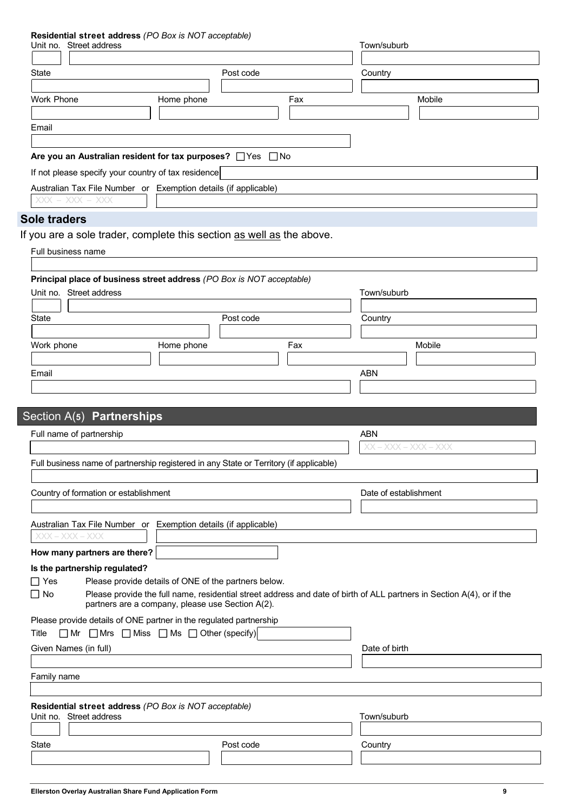#### **Residential street address** *(PO Box is NOT acceptable)*

| Unit no. Street address               | $\frac{1}{2}$ and $\frac{1}{2}$ and $\frac{1}{2}$ and $\frac{1}{2}$ and $\frac{1}{2}$ and $\frac{1}{2}$ and $\frac{1}{2}$ | Town/suburb                                                                                                           |
|---------------------------------------|---------------------------------------------------------------------------------------------------------------------------|-----------------------------------------------------------------------------------------------------------------------|
|                                       |                                                                                                                           |                                                                                                                       |
| State                                 | Post code                                                                                                                 | Country                                                                                                               |
|                                       |                                                                                                                           |                                                                                                                       |
| <b>Work Phone</b>                     | Home phone                                                                                                                | Mobile<br>Fax                                                                                                         |
|                                       |                                                                                                                           |                                                                                                                       |
| Email                                 |                                                                                                                           |                                                                                                                       |
|                                       |                                                                                                                           |                                                                                                                       |
|                                       | Are you an Australian resident for tax purposes? □ Yes □ No                                                               |                                                                                                                       |
|                                       | If not please specify your country of tax residence                                                                       |                                                                                                                       |
|                                       | Australian Tax File Number or Exemption details (if applicable)                                                           |                                                                                                                       |
| $XXX - XXX - XXX$                     |                                                                                                                           |                                                                                                                       |
| <b>Sole traders</b>                   |                                                                                                                           |                                                                                                                       |
|                                       |                                                                                                                           |                                                                                                                       |
|                                       | If you are a sole trader, complete this section as well as the above.                                                     |                                                                                                                       |
| Full business name                    |                                                                                                                           |                                                                                                                       |
|                                       |                                                                                                                           |                                                                                                                       |
|                                       | Principal place of business street address (PO Box is NOT acceptable)                                                     |                                                                                                                       |
| Unit no. Street address               |                                                                                                                           | Town/suburb                                                                                                           |
|                                       |                                                                                                                           |                                                                                                                       |
| <b>State</b>                          | Post code                                                                                                                 | Country                                                                                                               |
|                                       |                                                                                                                           |                                                                                                                       |
| Work phone                            | Home phone                                                                                                                | Mobile<br>Fax                                                                                                         |
|                                       |                                                                                                                           |                                                                                                                       |
| Email                                 |                                                                                                                           | <b>ABN</b>                                                                                                            |
|                                       |                                                                                                                           |                                                                                                                       |
|                                       |                                                                                                                           |                                                                                                                       |
| Section A(5) Partnerships             |                                                                                                                           |                                                                                                                       |
| Full name of partnership              |                                                                                                                           | <b>ABN</b>                                                                                                            |
|                                       |                                                                                                                           | $XX - XXX - XXX - XXX$                                                                                                |
|                                       | Full business name of partnership registered in any State or Territory (if applicable)                                    |                                                                                                                       |
|                                       |                                                                                                                           |                                                                                                                       |
| Country of formation or establishment |                                                                                                                           | Date of establishment                                                                                                 |
|                                       |                                                                                                                           |                                                                                                                       |
|                                       |                                                                                                                           |                                                                                                                       |
|                                       | Australian Tax File Number or Exemption details (if applicable)                                                           |                                                                                                                       |
| $XXX - XXX - XXX$                     |                                                                                                                           |                                                                                                                       |
| How many partners are there?          |                                                                                                                           |                                                                                                                       |
| Is the partnership regulated?         |                                                                                                                           |                                                                                                                       |
| $\Box$ Yes                            | Please provide details of ONE of the partners below.                                                                      |                                                                                                                       |
| $\Box$ No                             |                                                                                                                           | Please provide the full name, residential street address and date of birth of ALL partners in Section A(4), or if the |
|                                       | partners are a company, please use Section A(2).                                                                          |                                                                                                                       |
|                                       | Please provide details of ONE partner in the regulated partnership                                                        |                                                                                                                       |
| Title                                 | $\Box$ Mr $\Box$ Mrs $\Box$ Miss $\Box$ Ms $\Box$ Other (specify)                                                         |                                                                                                                       |
| Given Names (in full)                 |                                                                                                                           | Date of birth                                                                                                         |
|                                       |                                                                                                                           |                                                                                                                       |
| Family name                           |                                                                                                                           |                                                                                                                       |
|                                       |                                                                                                                           |                                                                                                                       |
|                                       | Residential street address (PO Box is NOT acceptable)                                                                     |                                                                                                                       |
| Unit no. Street address               |                                                                                                                           | Town/suburb                                                                                                           |
|                                       |                                                                                                                           |                                                                                                                       |
| State                                 | Post code                                                                                                                 | Country                                                                                                               |
|                                       |                                                                                                                           |                                                                                                                       |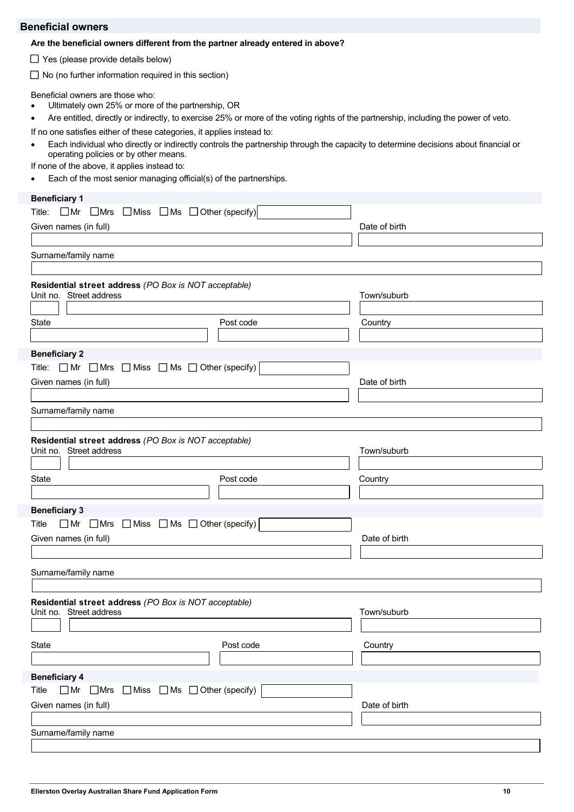## **Beneficial owners**

#### **Are the beneficial owners different from the partner already entered in above?**

 $\Box$  Yes (please provide details below)

 $\Box$  No (no further information required in this section)

Beneficial owners are those who:

- Ultimately own 25% or more of the partnership, OR
- Are entitled, directly or indirectly, to exercise 25% or more of the voting rights of the partnership, including the power of veto.
- If no one satisfies either of these categories, it applies instead to:
- Each individual who directly or indirectly controls the partnership through the capacity to determine decisions about financial or operating policies or by other means.
- If none of the above, it applies instead to:
- Each of the most senior managing official(s) of the partnerships.

| <b>Beneficiary 1</b>                                                             |           |               |
|----------------------------------------------------------------------------------|-----------|---------------|
| $\Box$ Mr $\Box$ Mrs $\Box$ Miss $\Box$ Ms $\Box$ Other (specify)<br>Title:      |           |               |
| Given names (in full)                                                            |           | Date of birth |
|                                                                                  |           |               |
| Surname/family name                                                              |           |               |
|                                                                                  |           |               |
| Residential street address (PO Box is NOT acceptable)                            |           |               |
| Unit no. Street address                                                          |           | Town/suburb   |
|                                                                                  |           |               |
| State                                                                            | Post code | Country       |
|                                                                                  |           |               |
| <b>Beneficiary 2</b>                                                             |           |               |
| Title: $\Box$ Mr $\Box$ Mrs $\Box$ Miss $\Box$ Ms $\Box$ Other (specify)         |           |               |
| Given names (in full)                                                            |           | Date of birth |
|                                                                                  |           |               |
| Surname/family name                                                              |           |               |
|                                                                                  |           |               |
| Residential street address (PO Box is NOT acceptable)<br>Unit no. Street address |           | Town/suburb   |
| <b>State</b>                                                                     | Post code | Country       |
|                                                                                  |           |               |
| <b>Beneficiary 3</b>                                                             |           |               |
| $\Box$ Mr $\Box$ Mrs $\Box$ Miss $\Box$ Ms $\Box$ Other (specify)<br>Title       |           |               |
| Given names (in full)                                                            |           | Date of birth |
|                                                                                  |           |               |
|                                                                                  |           |               |
| Surname/family name                                                              |           |               |
|                                                                                  |           |               |
| Residential street address (PO Box is NOT acceptable)                            |           |               |
| Unit no. Street address                                                          |           | Town/suburb   |
|                                                                                  |           |               |
| <b>State</b>                                                                     | Post code | Country       |
|                                                                                  |           |               |
| <b>Beneficiary 4</b>                                                             |           |               |
| $\Box$ Mr $\Box$ Mrs $\Box$ Miss $\Box$ Ms $\Box$ Other (specify)<br>Title       |           |               |
| Given names (in full)                                                            |           | Date of birth |
|                                                                                  |           |               |
| Surname/family name                                                              |           |               |
|                                                                                  |           |               |
|                                                                                  |           |               |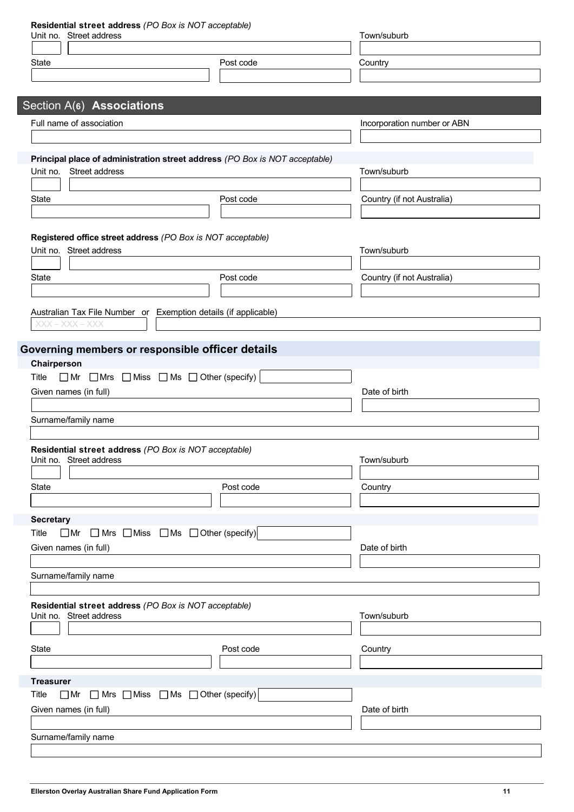| Residential street address (PO Box is NOT acceptable)<br>Unit no. Street address          |                                                                             | Town/suburb                 |
|-------------------------------------------------------------------------------------------|-----------------------------------------------------------------------------|-----------------------------|
|                                                                                           |                                                                             |                             |
| State                                                                                     | Post code                                                                   | Country                     |
|                                                                                           |                                                                             |                             |
| Section A(6) Associations                                                                 |                                                                             |                             |
| Full name of association                                                                  |                                                                             | Incorporation number or ABN |
|                                                                                           |                                                                             |                             |
|                                                                                           | Principal place of administration street address (PO Box is NOT acceptable) |                             |
| Unit no.<br>Street address                                                                |                                                                             | Town/suburb                 |
|                                                                                           |                                                                             |                             |
| <b>State</b>                                                                              | Post code                                                                   | Country (if not Australia)  |
|                                                                                           |                                                                             |                             |
| Registered office street address (PO Box is NOT acceptable)                               |                                                                             |                             |
| Unit no. Street address                                                                   |                                                                             | Town/suburb                 |
| <b>State</b>                                                                              | Post code                                                                   | Country (if not Australia)  |
|                                                                                           |                                                                             |                             |
| Australian Tax File Number or Exemption details (if applicable)                           |                                                                             |                             |
| $XXX - XXX - XXX$                                                                         |                                                                             |                             |
|                                                                                           |                                                                             |                             |
| Governing members or responsible officer details                                          |                                                                             |                             |
| Chairperson<br>$\Box$ Mr $\Box$ Mrs $\Box$ Miss $\Box$ Ms $\Box$ Other (specify)<br>Title |                                                                             |                             |
| Given names (in full)                                                                     |                                                                             | Date of birth               |
|                                                                                           |                                                                             |                             |
| Surname/family name                                                                       |                                                                             |                             |
|                                                                                           |                                                                             |                             |
| Residential street address (PO Box is NOT acceptable)<br>Unit no. Street address          |                                                                             | Town/suburb                 |
|                                                                                           |                                                                             |                             |
| <b>State</b>                                                                              | Post code                                                                   | Country                     |
|                                                                                           |                                                                             |                             |
| <b>Secretary</b><br>Title                                                                 | $\Box$ Mr $\Box$ Mrs $\Box$ Miss $\Box$ Ms $\Box$ Other (specify)           |                             |
| Given names (in full)                                                                     |                                                                             | Date of birth               |
|                                                                                           |                                                                             |                             |
| Surname/family name                                                                       |                                                                             |                             |
|                                                                                           |                                                                             |                             |
| Residential street address (PO Box is NOT acceptable)<br>Unit no. Street address          |                                                                             | Town/suburb                 |
|                                                                                           |                                                                             |                             |
| State                                                                                     | Post code                                                                   | Country                     |
|                                                                                           |                                                                             |                             |
| <b>Treasurer</b>                                                                          |                                                                             |                             |
| Title                                                                                     | $\Box$ Mr $\Box$ Mrs $\Box$ Miss $\Box$ Ms $\Box$ Other (specify)           |                             |
| Given names (in full)                                                                     |                                                                             | Date of birth               |
|                                                                                           |                                                                             |                             |
| Surname/family name                                                                       |                                                                             |                             |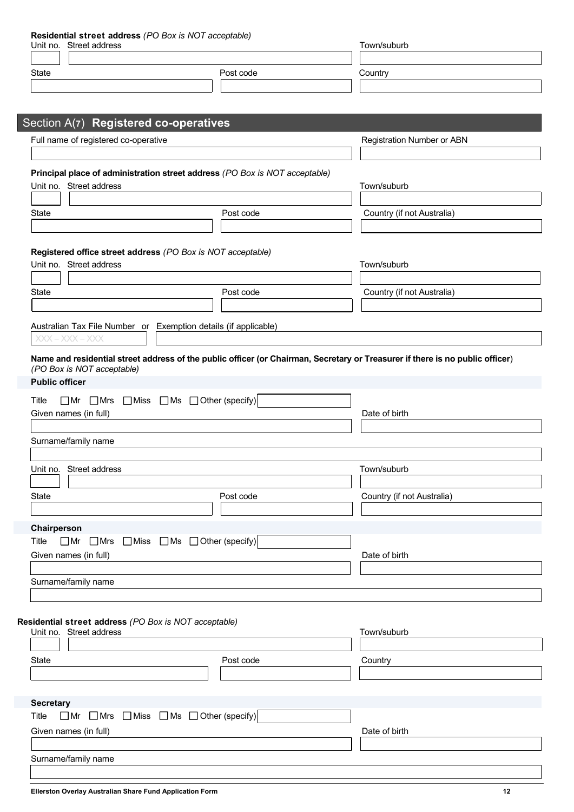| Residential street address (PO Box is NOT acceptable)                                                                         |                            |
|-------------------------------------------------------------------------------------------------------------------------------|----------------------------|
| Unit no. Street address                                                                                                       | Town/suburb                |
|                                                                                                                               |                            |
| Post code<br><b>State</b>                                                                                                     | Country                    |
|                                                                                                                               |                            |
|                                                                                                                               |                            |
| Section A(7) Registered co-operatives                                                                                         |                            |
| Full name of registered co-operative                                                                                          | Registration Number or ABN |
|                                                                                                                               |                            |
| Principal place of administration street address (PO Box is NOT acceptable)                                                   |                            |
| Unit no. Street address                                                                                                       | Town/suburb                |
|                                                                                                                               |                            |
| <b>State</b><br>Post code                                                                                                     | Country (if not Australia) |
|                                                                                                                               |                            |
|                                                                                                                               |                            |
| Registered office street address (PO Box is NOT acceptable)                                                                   |                            |
| Unit no. Street address                                                                                                       | Town/suburb                |
|                                                                                                                               |                            |
| State<br>Post code                                                                                                            | Country (if not Australia) |
|                                                                                                                               |                            |
| Australian Tax File Number or Exemption details (if applicable)                                                               |                            |
| $XXX - XXX - XXX$                                                                                                             |                            |
| Name and residential street address of the public officer (or Chairman, Secretary or Treasurer if there is no public officer) |                            |
| (PO Box is NOT acceptable)                                                                                                    |                            |
| <b>Public officer</b>                                                                                                         |                            |
| $\Box$ Mr $\Box$ Mrs $\Box$ Miss $\Box$ Ms $\Box$ Other (specify)<br>Title                                                    |                            |
| Given names (in full)                                                                                                         | Date of birth              |
|                                                                                                                               |                            |
| Surname/family name                                                                                                           |                            |
|                                                                                                                               |                            |
| Street address<br>Unit no.                                                                                                    | Town/suburb                |
|                                                                                                                               |                            |
| <b>State</b><br>Post code                                                                                                     | Country (if not Australia) |
|                                                                                                                               |                            |
| Chairperson                                                                                                                   |                            |
| $\Box$ Miss $\Box$ Ms $\Box$ Other (specify)<br>Title<br>$\Box$ Mr $\Box$ Mrs                                                 |                            |
| Given names (in full)                                                                                                         | Date of birth              |
| Surname/family name                                                                                                           |                            |
|                                                                                                                               |                            |

**Residential street address** *(PO Box is NOT acceptable)*

| Unit no.<br>Street address                                                 |           | Town/suburb   |
|----------------------------------------------------------------------------|-----------|---------------|
|                                                                            |           |               |
| State                                                                      | Post code | Country       |
|                                                                            |           |               |
|                                                                            |           |               |
| <b>Secretary</b>                                                           |           |               |
| $\Box$ Mr $\Box$ Mrs $\Box$ Miss $\Box$ Ms $\Box$ Other (specify)<br>Title |           |               |
| Given names (in full)                                                      |           | Date of birth |
|                                                                            |           |               |
| Surname/family name                                                        |           |               |
|                                                                            |           |               |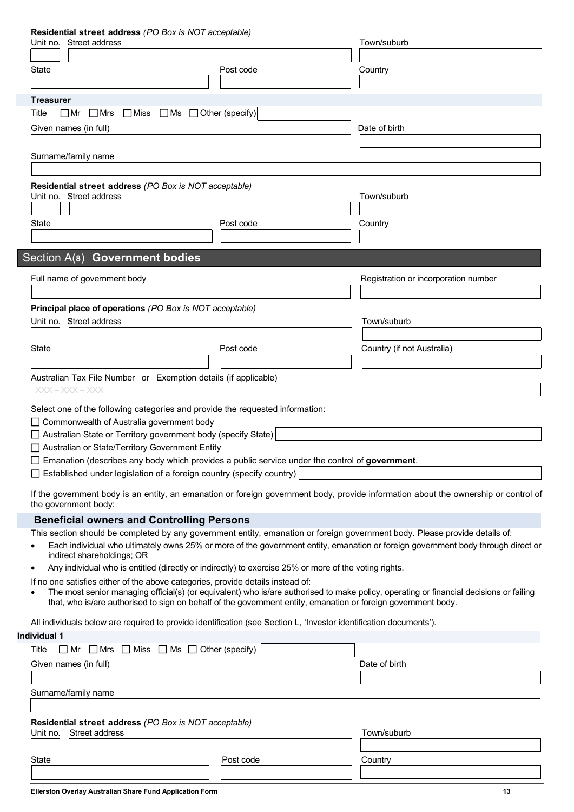#### **Residential street address** *(PO Box is NOT acceptable)*

| Unit no. Street address                                                                                                                                                                                                                                                                                                                                                                                                                  |           | Town/suburb                                                                                                                                                                                                                                                     |
|------------------------------------------------------------------------------------------------------------------------------------------------------------------------------------------------------------------------------------------------------------------------------------------------------------------------------------------------------------------------------------------------------------------------------------------|-----------|-----------------------------------------------------------------------------------------------------------------------------------------------------------------------------------------------------------------------------------------------------------------|
|                                                                                                                                                                                                                                                                                                                                                                                                                                          |           |                                                                                                                                                                                                                                                                 |
| State                                                                                                                                                                                                                                                                                                                                                                                                                                    | Post code | Country                                                                                                                                                                                                                                                         |
|                                                                                                                                                                                                                                                                                                                                                                                                                                          |           |                                                                                                                                                                                                                                                                 |
| <b>Treasurer</b>                                                                                                                                                                                                                                                                                                                                                                                                                         |           |                                                                                                                                                                                                                                                                 |
| $\Box$ Mr $\Box$ Mrs $\Box$ Miss $\Box$ Ms $\Box$ Other (specify)<br>Title                                                                                                                                                                                                                                                                                                                                                               |           |                                                                                                                                                                                                                                                                 |
| Given names (in full)                                                                                                                                                                                                                                                                                                                                                                                                                    |           | Date of birth                                                                                                                                                                                                                                                   |
|                                                                                                                                                                                                                                                                                                                                                                                                                                          |           |                                                                                                                                                                                                                                                                 |
| Surname/family name                                                                                                                                                                                                                                                                                                                                                                                                                      |           |                                                                                                                                                                                                                                                                 |
|                                                                                                                                                                                                                                                                                                                                                                                                                                          |           |                                                                                                                                                                                                                                                                 |
| Residential street address (PO Box is NOT acceptable)                                                                                                                                                                                                                                                                                                                                                                                    |           |                                                                                                                                                                                                                                                                 |
| Unit no. Street address                                                                                                                                                                                                                                                                                                                                                                                                                  |           | Town/suburb                                                                                                                                                                                                                                                     |
|                                                                                                                                                                                                                                                                                                                                                                                                                                          |           |                                                                                                                                                                                                                                                                 |
| <b>State</b>                                                                                                                                                                                                                                                                                                                                                                                                                             | Post code | Country                                                                                                                                                                                                                                                         |
|                                                                                                                                                                                                                                                                                                                                                                                                                                          |           |                                                                                                                                                                                                                                                                 |
| Section A(8) Government bodies                                                                                                                                                                                                                                                                                                                                                                                                           |           |                                                                                                                                                                                                                                                                 |
|                                                                                                                                                                                                                                                                                                                                                                                                                                          |           |                                                                                                                                                                                                                                                                 |
| Full name of government body                                                                                                                                                                                                                                                                                                                                                                                                             |           | Registration or incorporation number                                                                                                                                                                                                                            |
|                                                                                                                                                                                                                                                                                                                                                                                                                                          |           |                                                                                                                                                                                                                                                                 |
| Principal place of operations (PO Box is NOT acceptable)                                                                                                                                                                                                                                                                                                                                                                                 |           |                                                                                                                                                                                                                                                                 |
| Unit no. Street address                                                                                                                                                                                                                                                                                                                                                                                                                  |           | Town/suburb                                                                                                                                                                                                                                                     |
|                                                                                                                                                                                                                                                                                                                                                                                                                                          |           |                                                                                                                                                                                                                                                                 |
| State                                                                                                                                                                                                                                                                                                                                                                                                                                    | Post code | Country (if not Australia)                                                                                                                                                                                                                                      |
|                                                                                                                                                                                                                                                                                                                                                                                                                                          |           |                                                                                                                                                                                                                                                                 |
| Australian Tax File Number or Exemption details (if applicable)<br>XXX – XXX – XXX                                                                                                                                                                                                                                                                                                                                                       |           |                                                                                                                                                                                                                                                                 |
| Select one of the following categories and provide the requested information:<br>□ Commonwealth of Australia government body<br>$\Box$ Australian State or Territory government body (specify State)<br>Australian or State/Territory Government Entity<br>$\Box$ Emanation (describes any body which provides a public service under the control of government.<br>Established under legislation of a foreign country (specify country) |           | If the government body is an entity, an emanation or foreign government body, provide information about the ownership or control of                                                                                                                             |
| the government body:                                                                                                                                                                                                                                                                                                                                                                                                                     |           |                                                                                                                                                                                                                                                                 |
| <b>Beneficial owners and Controlling Persons</b>                                                                                                                                                                                                                                                                                                                                                                                         |           |                                                                                                                                                                                                                                                                 |
| indirect shareholdings; OR<br>Any individual who is entitled (directly or indirectly) to exercise 25% or more of the voting rights.<br>٠                                                                                                                                                                                                                                                                                                 |           | This section should be completed by any government entity, emanation or foreign government body. Please provide details of:<br>Each individual who ultimately owns 25% or more of the government entity, emanation or foreign government body through direct or |
| If no one satisfies either of the above categories, provide details instead of:                                                                                                                                                                                                                                                                                                                                                          |           |                                                                                                                                                                                                                                                                 |
|                                                                                                                                                                                                                                                                                                                                                                                                                                          |           | The most senior managing official(s) (or equivalent) who is/are authorised to make policy, operating or financial decisions or failing<br>that, who is/are authorised to sign on behalf of the government entity, emanation or foreign government body.         |
| All individuals below are required to provide identification (see Section L, 'Investor identification documents').                                                                                                                                                                                                                                                                                                                       |           |                                                                                                                                                                                                                                                                 |
| Individual 1                                                                                                                                                                                                                                                                                                                                                                                                                             |           |                                                                                                                                                                                                                                                                 |
| $\Box$ Mr $\Box$ Mrs $\Box$ Miss $\Box$ Ms $\Box$ Other (specify)<br>Title                                                                                                                                                                                                                                                                                                                                                               |           |                                                                                                                                                                                                                                                                 |
| Given names (in full)                                                                                                                                                                                                                                                                                                                                                                                                                    |           | Date of birth                                                                                                                                                                                                                                                   |
|                                                                                                                                                                                                                                                                                                                                                                                                                                          |           |                                                                                                                                                                                                                                                                 |
| Surname/family name                                                                                                                                                                                                                                                                                                                                                                                                                      |           |                                                                                                                                                                                                                                                                 |
|                                                                                                                                                                                                                                                                                                                                                                                                                                          |           |                                                                                                                                                                                                                                                                 |
| Residential street address (PO Box is NOT acceptable)                                                                                                                                                                                                                                                                                                                                                                                    |           |                                                                                                                                                                                                                                                                 |
| Street address<br>Unit no.                                                                                                                                                                                                                                                                                                                                                                                                               |           | Town/suburb                                                                                                                                                                                                                                                     |
| State                                                                                                                                                                                                                                                                                                                                                                                                                                    | Post code | Country                                                                                                                                                                                                                                                         |
|                                                                                                                                                                                                                                                                                                                                                                                                                                          |           |                                                                                                                                                                                                                                                                 |

**Ellerston Overlay Australian Share Fund Application Form 13**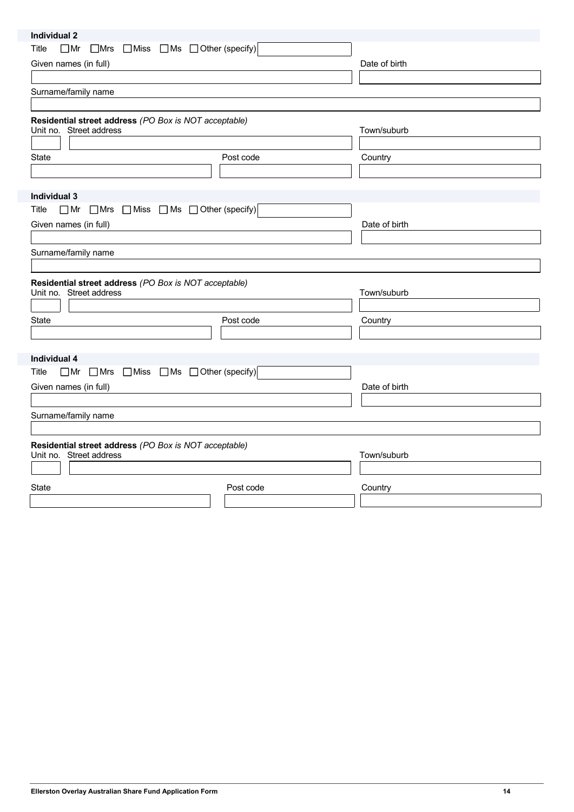| Individual 2                                                                     |           |               |
|----------------------------------------------------------------------------------|-----------|---------------|
| $\Box$ Mrs $\Box$ Miss $\Box$ Ms $\Box$ Other (specify)<br>$\Box$ Mr<br>Title    |           |               |
| Given names (in full)                                                            |           | Date of birth |
|                                                                                  |           |               |
| Surname/family name                                                              |           |               |
|                                                                                  |           |               |
| Residential street address (PO Box is NOT acceptable)<br>Unit no. Street address |           | Town/suburb   |
|                                                                                  |           |               |
| State                                                                            | Post code | Country       |
|                                                                                  |           |               |
|                                                                                  |           |               |
| Individual 3                                                                     |           |               |
| $\Box$ Mrs $\Box$ Miss $\Box$ Ms $\Box$ Other (specify)<br>Title<br>$\Box$ Mr    |           |               |
| Given names (in full)                                                            |           | Date of birth |
|                                                                                  |           |               |
| Surname/family name                                                              |           |               |
|                                                                                  |           |               |
| Residential street address (PO Box is NOT acceptable)                            |           |               |
| Unit no. Street address                                                          |           | Town/suburb   |
|                                                                                  |           |               |
| State                                                                            | Post code | Country       |
|                                                                                  |           |               |
|                                                                                  |           |               |
| <b>Individual 4</b>                                                              |           |               |
| $\Box$ Mr $\Box$ Mrs $\Box$ Miss $\Box$ Ms $\Box$ Other (specify)<br>Title       |           |               |
| Given names (in full)                                                            |           | Date of birth |
|                                                                                  |           |               |
| Surname/family name                                                              |           |               |
|                                                                                  |           |               |
| Residential street address (PO Box is NOT acceptable)                            |           |               |
| Unit no. Street address                                                          |           | Town/suburb   |
|                                                                                  |           |               |
|                                                                                  |           |               |
| State                                                                            | Post code | Country       |
|                                                                                  |           |               |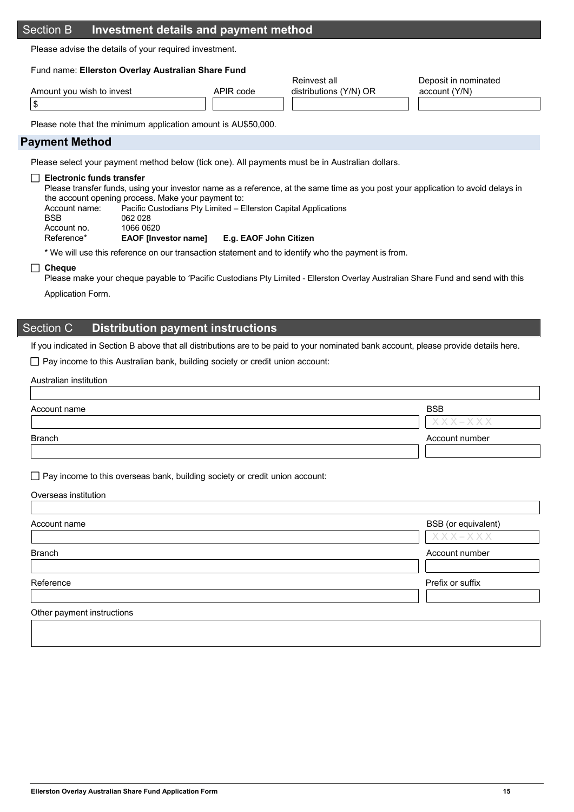## Section B **Investment details and payment method**

Please advise the details of your required investment.

#### Fund name: **Ellerston Overlay Australian Share Fund**

|                           |           | Reinvest all           | Deposit in nominated |
|---------------------------|-----------|------------------------|----------------------|
| Amount you wish to invest | APIR code | distributions (Y/N) OR | account (Y/N)        |
|                           |           |                        |                      |

Please note that the minimum application amount is AU\$50,000.

## **Payment Method**

Please select your payment method below (tick one). All payments must be in Australian dollars.

#### **Electronic funds transfer**

 Please transfer funds, using your investor name as a reference, at the same time as you post your application to avoid delays in the account opening process. Make your payment to:

| Account name: | Pacific Custodians Pty Limited – Ellerston Capital Applications |
|---------------|-----------------------------------------------------------------|
| BSB.          | 062 028                                                         |
| Account no.   | 1066 0620                                                       |
|               |                                                                 |

Reference\* **EAOF [Investor name] E.g. EAOF John Citizen**

\* We will use this reference on our transaction statement and to identify who the payment is from.

#### **Cheque**

Please make your cheque payable to 'Pacific Custodians Pty Limited - Ellerston Overlay Australian Share Fund and send with this

Application Form.

## Section C **Distribution payment instructions**

If you indicated in Section B above that all distributions are to be paid to your nominated bank account, please provide details here.

 $\Box$  Pay income to this Australian bank, building society or credit union account:

#### Australian institution

| Account name  | <b>BSB</b>               |
|---------------|--------------------------|
|               | $X$ $X$ $X$ $ X$ $X$ $X$ |
| <b>Branch</b> | Account number           |
|               |                          |

 $\Box$  Pay income to this overseas bank, building society or credit union account:

#### Overseas institution

| Account name  | BSB (or equivalent)<br>XXX-XXX |
|---------------|--------------------------------|
| <b>Branch</b> | Account number                 |
| Reference     | Prefix or suffix               |

**Ellerston Overlay Australian Share Fund Application Form 15**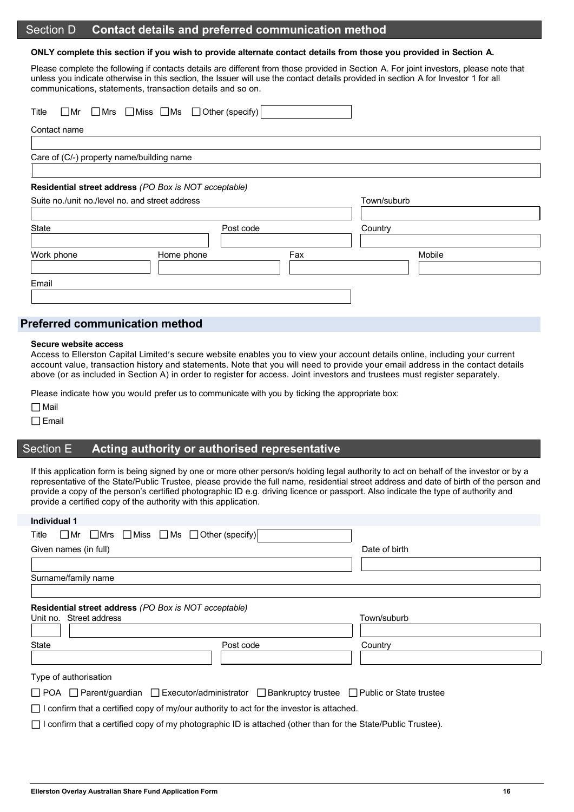## Section D **Contact details and preferred communication method**

#### **ONLY complete this section if you wish to provide alternate contact details from those you provided in Section A.**

Please complete the following if contacts details are different from those provided in Section A. For joint investors, please note that unless you indicate otherwise in this section, the Issuer will use the contact details provided in section A for Investor 1 for all communications, statements, transaction details and so on.

| Title                                           | $\Box$ Mr $\Box$ Mrs $\Box$ Miss $\Box$ Ms $\Box$ Other (specify) |     |             |  |
|-------------------------------------------------|-------------------------------------------------------------------|-----|-------------|--|
| Contact name                                    |                                                                   |     |             |  |
|                                                 |                                                                   |     |             |  |
| Care of (C/-) property name/building name       |                                                                   |     |             |  |
|                                                 |                                                                   |     |             |  |
|                                                 | Residential street address (PO Box is NOT acceptable)             |     |             |  |
| Suite no./unit no./level no. and street address |                                                                   |     | Town/suburb |  |
|                                                 |                                                                   |     |             |  |
| State                                           | Post code                                                         |     | Country     |  |
|                                                 |                                                                   |     |             |  |
| Work phone                                      | Home phone                                                        | Fax | Mobile      |  |
|                                                 |                                                                   |     |             |  |
| Email                                           |                                                                   |     |             |  |
|                                                 |                                                                   |     |             |  |

## **Preferred communication method**

#### **Secure website access**

Access to Ellerston Capital Limited's secure website enables you to view your account details online, including your current account value, transaction history and statements. Note that you will need to provide your email address in the contact details above (or as included in Section A) in order to register for access. Joint investors and trustees must register separately.

Please indicate how you would prefer us to communicate with you by ticking the appropriate box:

 $\Box$  Mail

 $\Box$  Email

## Section E **Acting authority or authorised representative**

If this application form is being signed by one or more other person/s holding legal authority to act on behalf of the investor or by a representative of the State/Public Trustee, please provide the full name, residential street address and date of birth of the person and provide a copy of the person's certified photographic ID e.g. driving licence or passport. Also indicate the type of authority and provide a certified copy of the authority with this application.

| <b>Individual 1</b>                                                                                                      |           |               |
|--------------------------------------------------------------------------------------------------------------------------|-----------|---------------|
| $\Box$ Mr $\Box$ Mrs $\Box$ Miss $\Box$ Ms $\Box$ Other (specify)<br>Title                                               |           |               |
| Given names (in full)                                                                                                    |           | Date of birth |
|                                                                                                                          |           |               |
| Surname/family name                                                                                                      |           |               |
|                                                                                                                          |           |               |
| Residential street address (PO Box is NOT acceptable)<br>Unit no. Street address                                         |           | Town/suburb   |
|                                                                                                                          |           |               |
| State                                                                                                                    | Post code | Country       |
|                                                                                                                          |           |               |
| Type of authorisation                                                                                                    |           |               |
| $\Box$ POA $\Box$ Parent/guardian $\Box$ Executor/administrator $\Box$ Bankruptcy trustee $\Box$ Public or State trustee |           |               |
| $\Box$ I confirm that a certified copy of my/our authority to act for the investor is attached.                          |           |               |
| $\Box$ I confirm that a certified copy of my photographic ID is attached (other than for the State/Public Trustee).      |           |               |

**Ellerston Overlay Australian Share Fund Application Form 16**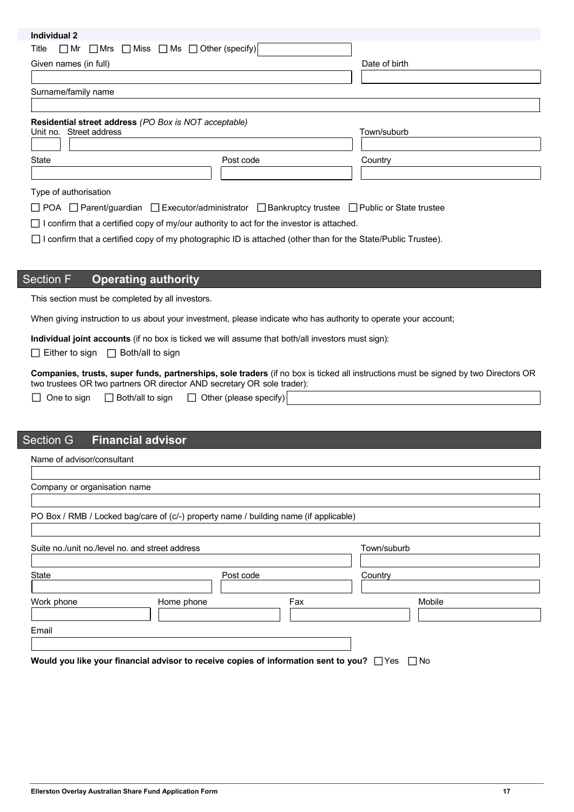| Individual 2                                                                                                             |               |
|--------------------------------------------------------------------------------------------------------------------------|---------------|
| $\Box$ Miss $\Box$ Ms $\Box$ Other (specify)<br>Title<br>$\Box$ Mr $\Box$ Mrs                                            |               |
| Given names (in full)                                                                                                    | Date of birth |
|                                                                                                                          |               |
| Surname/family name                                                                                                      |               |
|                                                                                                                          |               |
| Residential street address (PO Box is NOT acceptable)                                                                    |               |
| Unit no. Street address                                                                                                  | Town/suburb   |
|                                                                                                                          |               |
| <b>State</b><br>Post code                                                                                                | Country       |
|                                                                                                                          |               |
| Type of authorisation                                                                                                    |               |
| $\Box$ POA $\Box$ Parent/guardian $\Box$ Executor/administrator $\Box$ Bankruptcy trustee $\Box$ Public or State trustee |               |
| I confirm that a certified copy of my/our authority to act for the investor is attached.                                 |               |
| I confirm that a certified copy of my photographic ID is attached (other than for the State/Public Trustee).             |               |
|                                                                                                                          |               |
|                                                                                                                          |               |
| <b>Section F</b><br><b>Operating authority</b>                                                                           |               |
| This section must be completed by all investors.                                                                         |               |
|                                                                                                                          |               |

When giving instruction to us about your investment, please indicate who has authority to operate your account;

**Individual joint accounts** (if no box is ticked we will assume that both/all investors must sign):

 $\Box$  Either to sign  $\Box$  Both/all to sign

**Companies, trusts, super funds, partnerships, sole traders** (if no box is ticked all instructions must be signed by two Directors OR two trustees OR two partners OR director AND secretary OR sole trader):

|  | $\Box$ One to sign | $\Box$ Both/all to sign | $\Box$ Other (please specify) |
|--|--------------------|-------------------------|-------------------------------|
|--|--------------------|-------------------------|-------------------------------|

## Section G **Financial advisor**

Name of advisor/consultant

| Company or organisation name                    |                                                                                                |     |             |
|-------------------------------------------------|------------------------------------------------------------------------------------------------|-----|-------------|
|                                                 | PO Box / RMB / Locked bag/care of (c/-) property name / building name (if applicable)          |     |             |
| Suite no./unit no./level no. and street address |                                                                                                |     | Town/suburb |
| State                                           | Post code                                                                                      |     | Country     |
| Work phone                                      | Home phone                                                                                     | Fax | Mobile      |
| Email                                           |                                                                                                |     |             |
|                                                 | Would you like your financial advisor to receive copies of information sent to you? □ Yes □ No |     |             |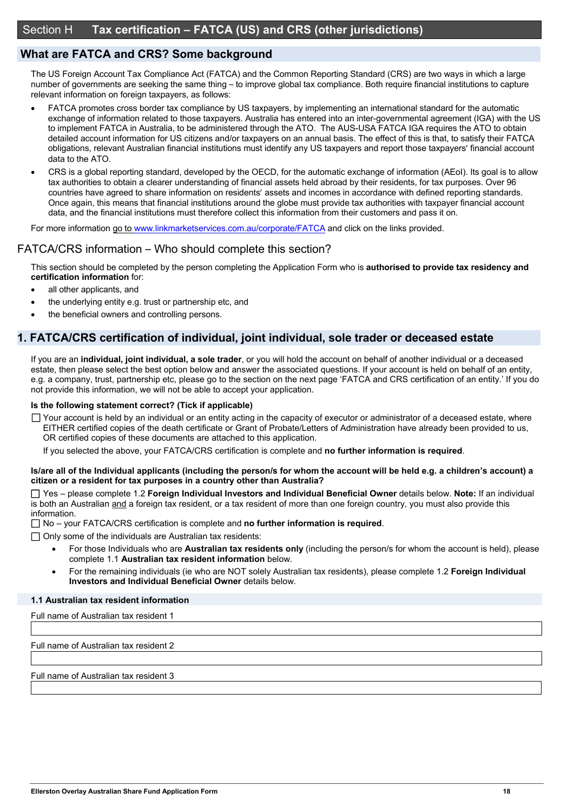## **What are FATCA and CRS? Some background**

The US Foreign Account Tax Compliance Act (FATCA) and the Common Reporting Standard (CRS) are two ways in which a large number of governments are seeking the same thing – to improve global tax compliance. Both require financial institutions to capture relevant information on foreign taxpayers, as follows:

- FATCA promotes cross border tax compliance by US taxpayers, by implementing an international standard for the automatic exchange of information related to those taxpayers. Australia has entered into an inter-governmental agreement (IGA) with the US to implement FATCA in Australia, to be administered through the ATO. The AUS-USA FATCA IGA requires the ATO to obtain detailed account information for US citizens and/or taxpayers on an annual basis. The effect of this is that, to satisfy their FATCA obligations, relevant Australian financial institutions must identify any US taxpayers and report those taxpayers' financial account data to the ATO.
- CRS is a global reporting standard, developed by the OECD, for the automatic exchange of information (AEoI). Its goal is to allow tax authorities to obtain a clearer understanding of financial assets held abroad by their residents, for tax purposes. Over 96 countries have agreed to share information on residents' assets and incomes in accordance with defined reporting standards. Once again, this means that financial institutions around the globe must provide tax authorities with taxpayer financial account data, and the financial institutions must therefore collect this information from their customers and pass it on.

For more information go to www.linkmarketservices.com.au/corporate/FATCA and click on the links provided.

## FATCA/CRS information – Who should complete this section?

This section should be completed by the person completing the Application Form who is **authorised to provide tax residency and certification information** for:

- all other applicants, and
- the underlying entity e.g. trust or partnership etc, and
- the beneficial owners and controlling persons.

## **1. FATCA/CRS certification of individual, joint individual, sole trader or deceased estate**

If you are an **individual, joint individual, a sole trader**, or you will hold the account on behalf of another individual or a deceased estate, then please select the best option below and answer the associated questions. If your account is held on behalf of an entity, e.g. a company, trust, partnership etc, please go to the section on the next page 'FATCA and CRS certification of an entity.' If you do not provide this information, we will not be able to accept your application.

#### **Is the following statement correct? (Tick if applicable)**

 $\Box$  Your account is held by an individual or an entity acting in the capacity of executor or administrator of a deceased estate, where EITHER certified copies of the death certificate or Grant of Probate/Letters of Administration have already been provided to us, OR certified copies of these documents are attached to this application.

If you selected the above, your FATCA/CRS certification is complete and **no further information is required**.

#### **Is/are all of the Individual applicants (including the person/s for whom the account will be held e.g. a children's account) a citizen or a resident for tax purposes in a country other than Australia?**

 Yes – please complete 1.2 **Foreign Individual Investors and Individual Beneficial Owner** details below. **Note:** If an individual is both an Australian and a foreign tax resident, or a tax resident of more than one foreign country, you must also provide this information.

No – your FATCA/CRS certification is complete and **no further information is required**.

 $\Box$  Only some of the individuals are Australian tax residents:

- For those Individuals who are **Australian tax residents only** (including the person/s for whom the account is held), please complete 1.1 **Australian tax resident information** below.
- For the remaining individuals (ie who are NOT solely Australian tax residents), please complete 1.2 **Foreign Individual Investors and Individual Beneficial Owner** details below.

#### **1.1 Australian tax resident information**

Full name of Australian tax resident 1

Full name of Australian tax resident 2

Full name of Australian tax resident 3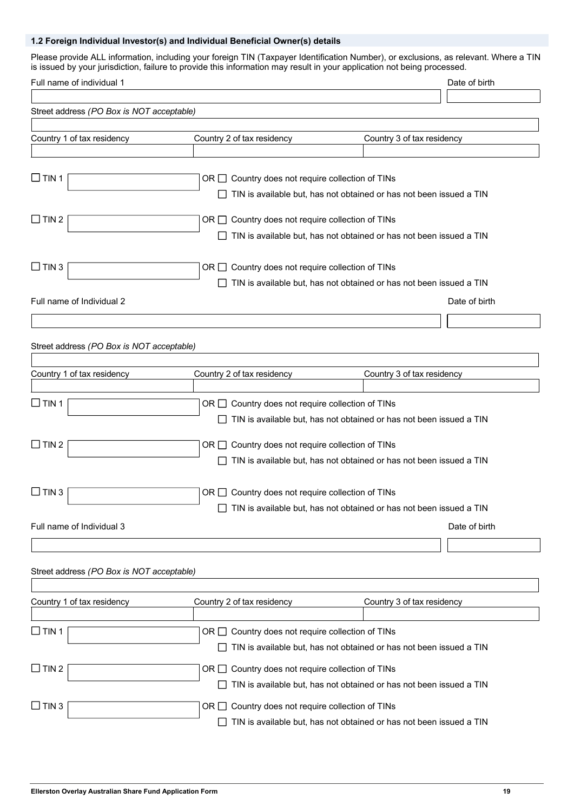## **1.2 Foreign Individual Investor(s) and Individual Beneficial Owner(s) details**

Please provide ALL information, including your foreign TIN (Taxpayer Identification Number), or exclusions, as relevant. Where a TIN is issued by your jurisdiction, failure to provide this information may result in your application not being processed.

| Full name of individual 1                 |                                                       |                                                                            | Date of birth |
|-------------------------------------------|-------------------------------------------------------|----------------------------------------------------------------------------|---------------|
|                                           |                                                       |                                                                            |               |
| Street address (PO Box is NOT acceptable) |                                                       |                                                                            |               |
|                                           |                                                       |                                                                            |               |
| Country 1 of tax residency                | Country 2 of tax residency                            | Country 3 of tax residency                                                 |               |
|                                           |                                                       |                                                                            |               |
|                                           |                                                       |                                                                            |               |
| $\Box$ TIN 1                              | OR $\Box$ Country does not require collection of TINs |                                                                            |               |
|                                           |                                                       | TIN is available but, has not obtained or has not been issued a TIN        |               |
| $\Box$ TIN 2                              |                                                       |                                                                            |               |
|                                           | OR $\Box$ Country does not require collection of TINs |                                                                            |               |
|                                           |                                                       | TIN is available but, has not obtained or has not been issued a TIN        |               |
|                                           |                                                       |                                                                            |               |
| $\Box$ TIN 3                              | OR $\Box$ Country does not require collection of TINs |                                                                            |               |
|                                           |                                                       | TIN is available but, has not obtained or has not been issued a TIN        |               |
| Full name of Individual 2                 |                                                       |                                                                            | Date of birth |
|                                           |                                                       |                                                                            |               |
|                                           |                                                       |                                                                            |               |
| Street address (PO Box is NOT acceptable) |                                                       |                                                                            |               |
|                                           |                                                       |                                                                            |               |
| Country 1 of tax residency                | Country 2 of tax residency                            | Country 3 of tax residency                                                 |               |
|                                           |                                                       |                                                                            |               |
| $\Box$ TIN 1                              | OR $\Box$ Country does not require collection of TINs |                                                                            |               |
|                                           |                                                       | TIN is available but, has not obtained or has not been issued a TIN        |               |
|                                           |                                                       |                                                                            |               |
| $\Box$ TIN 2                              | OR $\Box$ Country does not require collection of TINs |                                                                            |               |
|                                           |                                                       | TIN is available but, has not obtained or has not been issued a TIN        |               |
|                                           |                                                       |                                                                            |               |
| $\Box$ TIN 3                              | OR $\Box$ Country does not require collection of TINs |                                                                            |               |
|                                           |                                                       |                                                                            |               |
|                                           |                                                       | $\Box$ TIN is available but, has not obtained or has not been issued a TIN |               |
| Full name of Individual 3                 |                                                       |                                                                            | Date of birth |
|                                           |                                                       |                                                                            |               |
|                                           |                                                       |                                                                            |               |
| Street address (PO Box is NOT acceptable) |                                                       |                                                                            |               |
|                                           |                                                       |                                                                            |               |
| Country 1 of tax residency                | Country 2 of tax residency                            | Country 3 of tax residency                                                 |               |
|                                           |                                                       |                                                                            |               |
| $\Box$ TIN 1                              | OR $\Box$ Country does not require collection of TINs |                                                                            |               |
|                                           |                                                       | TIN is available but, has not obtained or has not been issued a TIN        |               |
|                                           |                                                       |                                                                            |               |
| $\Box$ TIN 2                              | OR $\Box$ Country does not require collection of TINs |                                                                            |               |
|                                           |                                                       | TIN is available but, has not obtained or has not been issued a TIN        |               |
| $\Box$ TIN 3                              | OR $\Box$ Country does not require collection of TINs |                                                                            |               |
|                                           |                                                       | TIN is available but, has not obtained or has not been issued a TIN        |               |
|                                           |                                                       |                                                                            |               |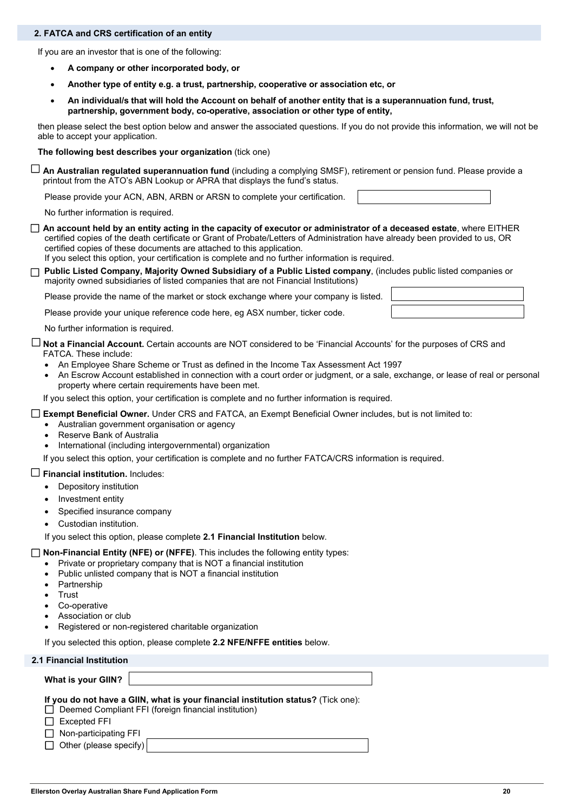#### **2. FATCA and CRS certification of an entity**

If you are an investor that is one of the following:

- **A company or other incorporated body, or**
- **Another type of entity e.g. a trust, partnership, cooperative or association etc, or**
- **An individual/s that will hold the Account on behalf of another entity that is a superannuation fund, trust, partnership, government body, co-operative, association or other type of entity,**

then please select the best option below and answer the associated questions. If you do not provide this information, we will not be able to accept your application.

**The following best describes your organization** (tick one)

 **An Australian regulated superannuation fund** (including a complying SMSF), retirement or pension fund. Please provide aprintout from the ATO's ABN Lookup or APRA that displays the fund's status.

Please provide your ACN, ABN, ARBN or ARSN to complete your certification.

No further information is required.

- **An account held by an entity acting in the capacity of executor or administrator of a deceased estate**, where EITHER certified copies of the death certificate or Grant of Probate/Letters of Administration have already been provided to us, OR certified copies of these documents are attached to this application. If you select this option, your certification is complete and no further information is required.
- **Public Listed Company, Majority Owned Subsidiary of a Public Listed company**, (includes public listed companies or majority owned subsidiaries of listed companies that are not Financial Institutions)

Please provide the name of the market or stock exchange where your company is listed.

Please provide your unique reference code here, eg ASX number, ticker code.

No further information is required.

 **Not a Financial Account.** Certain accounts are NOT considered to be 'Financial Accounts' for the purposes of CRS and **FATCA.** These include:

- An Employee Share Scheme or Trust as defined in the Income Tax Assessment Act 1997
- An Escrow Account established in connection with a court order or judgment, or a sale, exchange, or lease of real or personal property where certain requirements have been met.

If you select this option, your certification is complete and no further information is required.

**Exempt Beneficial Owner.** Under CRS and FATCA, an Exempt Beneficial Owner includes, but is not limited to:

- Australian government organisation or agency
- Reserve Bank of Australia
- International (including intergovernmental) organization

If you select this option, your certification is complete and no further FATCA/CRS information is required.

#### **Financial institution.** Includes:

- Depository institution
- Investment entity
- Specified insurance company
- Custodian institution.

If you select this option, please complete **2.1 Financial Institution** below.

**Non-Financial Entity (NFE) or (NFFE)**. This includes the following entity types:

- Private or proprietary company that is NOT a financial institution
- Public unlisted company that is NOT a financial institution
- Partnership
- Trust
- Co-operative
- Association or club
- Registered or non-registered charitable organization

If you selected this option, please complete **2.2 NFE/NFFE entities** below.

**2.1 Financial Institution** 

| What is your GIIN?  |                                                                                   |
|---------------------|-----------------------------------------------------------------------------------|
|                     | If you do not have a GIIN, what is your financial institution status? (Tick one): |
|                     | $\Box$ Deemed Compliant FFI (foreign financial institution)                       |
| $\Box$ Excepted FFI |                                                                                   |

 $\Box$  Non-participating FFI

 $\Box$  Other (please specify)

|  | the contract of the contract of the contract of the contract of the contract of the contract of |  |
|--|-------------------------------------------------------------------------------------------------|--|
|  |                                                                                                 |  |
|  |                                                                                                 |  |
|  |                                                                                                 |  |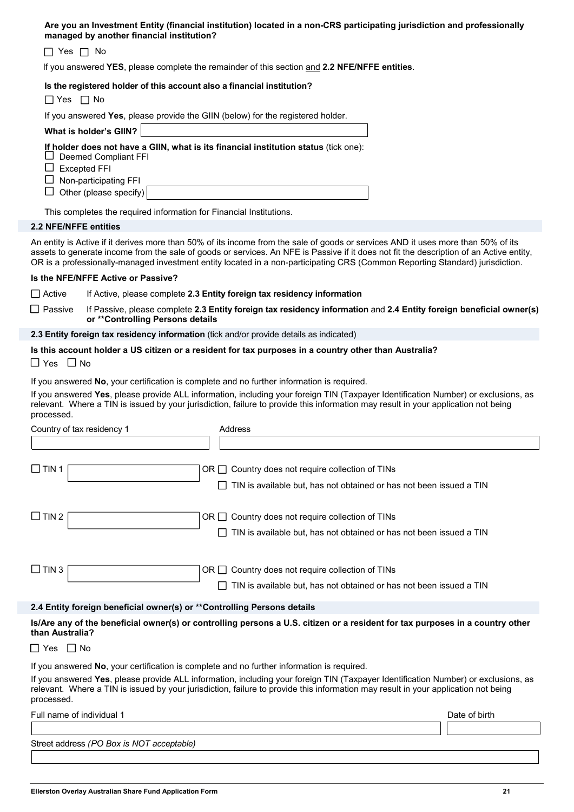#### **Are you an Investment Entity (financial institution) located in a non-CRS participating jurisdiction and professionally managed by another financial institution?**

 $\Box$  Yes  $\Box$  No

If you answered **YES**, please complete the remainder of this section and **2.2 NFE/NFFE entities**.

#### **Is the registered holder of this account also a financial institution?**

 $\Box$  Yes  $\Box$  No

If you answered **Yes**, please provide the GIIN (below) for the registered holder.

| What is holder's GIIN? |                                                                                      |
|------------------------|--------------------------------------------------------------------------------------|
|                        | If holder does not have a GIIN, what is its financial institution status (tick one): |

- $\square$  Deemed Compliant FFI
- $\square$  Excepted FFI
- $\Box$  Non-participating FFI
- $\Box$  Other (please specify)

This completes the required information for Financial Institutions.

#### **2.2 NFE/NFFE entities**

An entity is Active if it derives more than 50% of its income from the sale of goods or services AND it uses more than 50% of its assets to generate income from the sale of goods or services. An NFE is Passive if it does not fit the description of an Active entity, OR is a professionally-managed investment entity located in a non-participating CRS (Common Reporting Standard) jurisdiction.

#### **Is the NFE/NFFE Active or Passive?**

Active If Active, please complete **2.3 Entity foreign tax residency information**

 Passive If Passive, please complete **2.3 Entity foreign tax residency information** and **2.4 Entity foreign beneficial owner(s) or \*\*Controlling Persons details**

**2.3 Entity foreign tax residency information** (tick and/or provide details as indicated)

#### **Is this account holder a US citizen or a resident for tax purposes in a country other than Australia?**

 $\Box$  Yes  $\Box$  No

If you answered **No**, your certification is complete and no further information is required.

If you answered **Yes**, please provide ALL information, including your foreign TIN (Taxpayer Identification Number) or exclusions, as relevant. Where a TIN is issued by your jurisdiction, failure to provide this information may result in your application not being processed.

| Country of tax residency 1                                                                 | Address                                                                                                                                                                                                                                                                  |               |
|--------------------------------------------------------------------------------------------|--------------------------------------------------------------------------------------------------------------------------------------------------------------------------------------------------------------------------------------------------------------------------|---------------|
|                                                                                            |                                                                                                                                                                                                                                                                          |               |
| $\Box$ TIN 1                                                                               | $OR \square$ Country does not require collection of TINs<br>TIN is available but, has not obtained or has not been issued a TIN                                                                                                                                          |               |
|                                                                                            |                                                                                                                                                                                                                                                                          |               |
| $\Box$ TIN 2                                                                               | Country does not require collection of TINs<br>ORII                                                                                                                                                                                                                      |               |
|                                                                                            | TIN is available but, has not obtained or has not been issued a TIN                                                                                                                                                                                                      |               |
|                                                                                            |                                                                                                                                                                                                                                                                          |               |
| $\Box$ TIN 3                                                                               | Country does not require collection of TINs<br>ORII                                                                                                                                                                                                                      |               |
|                                                                                            | TIN is available but, has not obtained or has not been issued a TIN                                                                                                                                                                                                      |               |
|                                                                                            |                                                                                                                                                                                                                                                                          |               |
| 2.4 Entity foreign beneficial owner(s) or ** Controlling Persons details                   |                                                                                                                                                                                                                                                                          |               |
| than Australia?                                                                            | Is/Are any of the beneficial owner(s) or controlling persons a U.S. citizen or a resident for tax purposes in a country other                                                                                                                                            |               |
| $\Box$ Yes $\Box$ No                                                                       |                                                                                                                                                                                                                                                                          |               |
| If you answered No, your certification is complete and no further information is required. |                                                                                                                                                                                                                                                                          |               |
| processed.                                                                                 | If you answered Yes, please provide ALL information, including your foreign TIN (Taxpayer Identification Number) or exclusions, as<br>relevant. Where a TIN is issued by your jurisdiction, failure to provide this information may result in your application not being |               |
| Full name of individual 1                                                                  |                                                                                                                                                                                                                                                                          | Date of birth |
|                                                                                            |                                                                                                                                                                                                                                                                          |               |
| Street address (PO Box is NOT acceptable)                                                  |                                                                                                                                                                                                                                                                          |               |
|                                                                                            |                                                                                                                                                                                                                                                                          |               |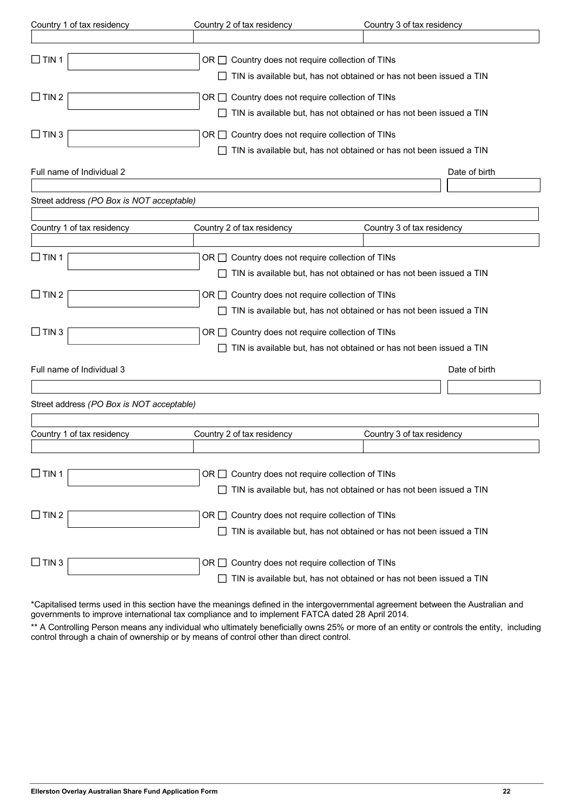| Country 1 of tax residency                | Country 2 of tax residency                                                                                                          | Country 3 of tax residency |               |
|-------------------------------------------|-------------------------------------------------------------------------------------------------------------------------------------|----------------------------|---------------|
|                                           |                                                                                                                                     |                            |               |
| $\Box$ TIN 1                              | OR $\Box$ Country does not require collection of TINs<br>$\Box$ TIN is available but, has not obtained or has not been issued a TIN |                            |               |
| $\Box$ TIN 2                              | OR $\Box$ Country does not require collection of TINs<br>$\Box$ TIN is available but, has not obtained or has not been issued a TIN |                            |               |
| $\Box$ TIN 3                              | OR $\Box$ Country does not require collection of TINs<br>$\Box$ TIN is available but, has not obtained or has not been issued a TIN |                            |               |
| Full name of Individual 2                 |                                                                                                                                     |                            | Date of birth |
| Street address (PO Box is NOT acceptable) |                                                                                                                                     |                            |               |
| Country 1 of tax residency                | Country 2 of tax residency                                                                                                          | Country 3 of tax residency |               |
|                                           |                                                                                                                                     |                            |               |
| $\Box$ TIN 1                              | OR □ Country does not require collection of TINs<br>TIN is available but, has not obtained or has not been issued a TIN             |                            |               |
| $\Box$ TIN 2                              | OR $\Box$ Country does not require collection of TINs<br>TIN is available but, has not obtained or has not been issued a TIN        |                            |               |
| $\Box$ TIN 3                              | OR $\Box$ Country does not require collection of TINs<br>TIN is available but, has not obtained or has not been issued a TIN        |                            |               |
| Full name of Individual 3                 |                                                                                                                                     |                            | Date of birth |
| Street address (PO Box is NOT acceptable) |                                                                                                                                     |                            |               |
|                                           |                                                                                                                                     |                            |               |
| Country 1 of tax residency                | Country 2 of tax residency                                                                                                          | Country 3 of tax residency |               |
| $\Box$ TIN 1                              | Country does not require collection of TINs<br>OR LI<br>TIN is available but, has not obtained or has not been issued a TIN         |                            |               |
| $\Box$ TIN 2                              | OR □ Country does not require collection of TINs<br>TIN is available but, has not obtained or has not been issued a TIN             |                            |               |
| $\Box$ TIN 3                              | Country does not require collection of TINs<br>OR I I<br>TIN is available but, has not obtained or has not been issued a TIN        |                            |               |

\*Capitalised terms used in this section have the meanings defined in the intergovernmental agreement between the Australian and governments to improve international tax compliance and to implement FATCA dated 28 April 2014.

\*\* A Controlling Person means any individual who ultimately beneficially owns 25% or more of an entity or controls the entity, including control through a chain of ownership or by means of control other than direct control.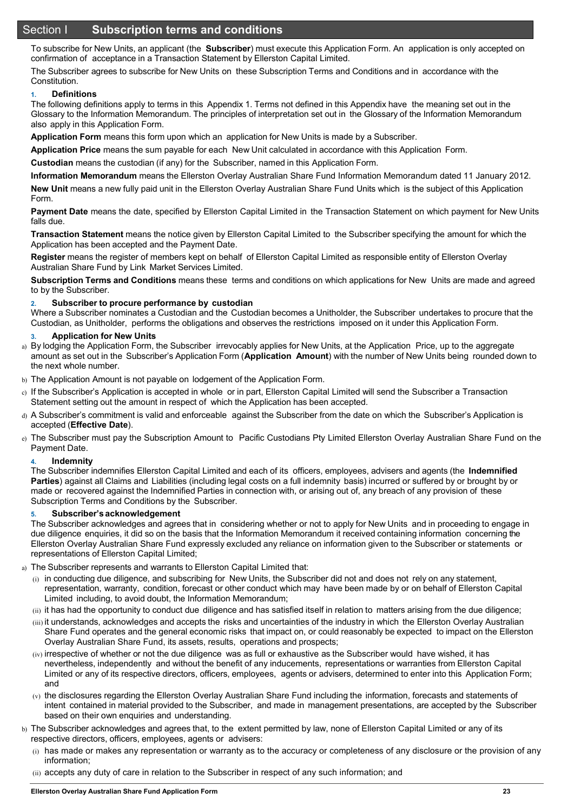## Section I **Subscription terms and conditions**

To subscribe for New Units, an applicant (the **Subscriber**) must execute this Application Form. An application is only accepted on confirmation of acceptance in a Transaction Statement by Ellerston Capital Limited.

The Subscriber agrees to subscribe for New Units on these Subscription Terms and Conditions and in accordance with the Constitution.

#### **1. Definitions**

The following definitions apply to terms in this Appendix 1. Terms not defined in this Appendix have the meaning set out in the Glossary to the Information Memorandum. The principles of interpretation set out in the Glossary of the Information Memorandum also apply in this Application Form.

**Application Form** means this form upon which an application for New Units is made by a Subscriber.

**Application Price** means the sum payable for each New Unit calculated in accordance with this Application Form.

**Custodian** means the custodian (if any) for the Subscriber, named in this Application Form.

**Information Memorandum** means the Ellerston Overlay Australian Share Fund Information Memorandum dated 11 January 2012.

**New Unit** means a new fully paid unit in the Ellerston Overlay Australian Share Fund Units which is the subject of this Application Form.

**Payment Date** means the date, specified by Ellerston Capital Limited in the Transaction Statement on which payment for New Units falls due.

**Transaction Statement** means the notice given by Ellerston Capital Limited to the Subscriber specifying the amount for which the Application has been accepted and the Payment Date.

**Register** means the register of members kept on behalf of Ellerston Capital Limited as responsible entity of Ellerston Overlay Australian Share Fund by Link Market Services Limited.

**Subscription Terms and Conditions** means these terms and conditions on which applications for New Units are made and agreed to by the Subscriber.

#### **2. Subscriber to procure performance by custodian**

Where a Subscriber nominates a Custodian and the Custodian becomes a Unitholder, the Subscriber undertakes to procure that the Custodian, as Unitholder, performs the obligations and observes the restrictions imposed on it under this Application Form.

#### **3. Application for New Units**

- a) By lodging the Application Form, the Subscriber irrevocably applies for New Units, at the Application Price, up to the aggregate amount as set out in the Subscriber's Application Form (**Application Amount**) with the number of New Units being rounded down to the next whole number.
- b) The Application Amount is not payable on lodgement of the Application Form.
- c) If the Subscriber's Application is accepted in whole or in part, Ellerston Capital Limited will send the Subscriber a Transaction Statement setting out the amount in respect of which the Application has been accepted.
- d) A Subscriber's commitment is valid and enforceable against the Subscriber from the date on which the Subscriber's Application is accepted (**Effective Date**).
- e) The Subscriber must pay the Subscription Amount to Pacific Custodians Pty Limited Ellerston Overlay Australian Share Fund on the Payment Date.

#### **4. Indemnity**

The Subscriber indemnifies Ellerston Capital Limited and each of its officers, employees, advisers and agents (the **Indemnified Parties**) against all Claims and Liabilities (including legal costs on a full indemnity basis) incurred or suffered by or brought by or made or recovered against the Indemnified Parties in connection with, or arising out of, any breach of any provision of these Subscription Terms and Conditions by the Subscriber.

#### **5. Subscriber's acknowledgement**

The Subscriber acknowledges and agrees that in considering whether or not to apply for New Units and in proceeding to engage in due diligence enquiries, it did so on the basis that the Information Memorandum it received containing information concerning the Ellerston Overlay Australian Share Fund expressly excluded any reliance on information given to the Subscriber or statements or representations of Ellerston Capital Limited;

- a) The Subscriber represents and warrants to Ellerston Capital Limited that:
	- (i) in conducting due diligence, and subscribing for New Units, the Subscriber did not and does not rely on any statement, representation, warranty, condition, forecast or other conduct which may have been made by or on behalf of Ellerston Capital Limited including, to avoid doubt, the Information Memorandum;
	- (ii) it has had the opportunity to conduct due diligence and has satisfied itself in relation to matters arising from the due diligence;
	- (iii) it understands, acknowledges and accepts the risks and uncertainties of the industry in which the Ellerston Overlay Australian Share Fund operates and the general economic risks that impact on, or could reasonably be expected to impact on the Ellerston Overlay Australian Share Fund, its assets, results, operations and prospects;
	- $(iy)$  irrespective of whether or not the due diligence was as full or exhaustive as the Subscriber would have wished, it has nevertheless, independently and without the benefit of any inducements, representations or warranties from Ellerston Capital Limited or any of its respective directors, officers, employees, agents or advisers, determined to enter into this Application Form; and
	- (v) the disclosures regarding the Ellerston Overlay Australian Share Fund including the information, forecasts and statements of intent contained in material provided to the Subscriber, and made in management presentations, are accepted by the Subscriber based on their own enquiries and understanding.
- b) The Subscriber acknowledges and agrees that, to the extent permitted by law, none of Ellerston Capital Limited or any of its respective directors, officers, employees, agents or advisers:
	- (i) has made or makes any representation or warranty as to the accuracy or completeness of any disclosure or the provision of any information;
	- (ii) accepts any duty of care in relation to the Subscriber in respect of any such information; and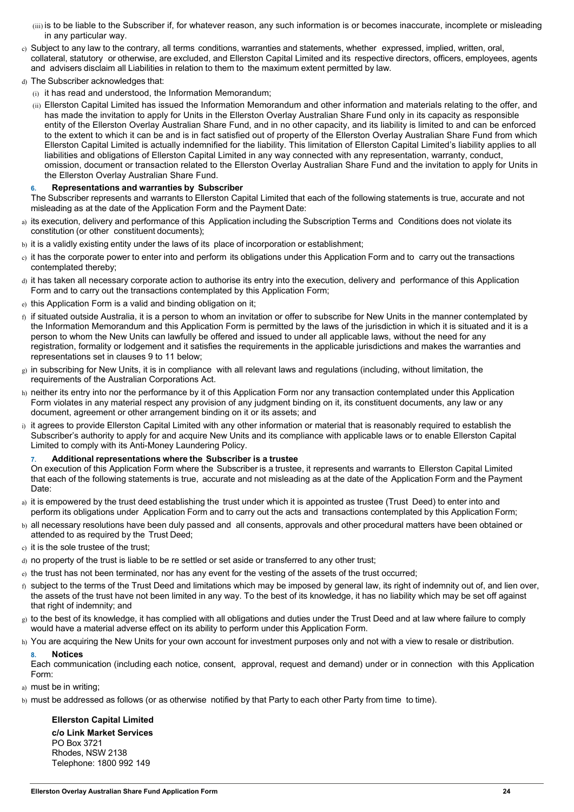(iii) is to be liable to the Subscriber if, for whatever reason, any such information is or becomes inaccurate, incomplete or misleading in any particular way.

- c) Subject to any law to the contrary, all terms conditions, warranties and statements, whether expressed, implied, written, oral, collateral, statutory or otherwise, are excluded, and Ellerston Capital Limited and its respective directors, officers, employees, agents and advisers disclaim all Liabilities in relation to them to the maximum extent permitted by law.
- d) The Subscriber acknowledges that:
- (i) it has read and understood, the Information Memorandum;

(ii) Ellerston Capital Limited has issued the Information Memorandum and other information and materials relating to the offer, and has made the invitation to apply for Units in the Ellerston Overlay Australian Share Fund only in its capacity as responsible entity of the Ellerston Overlay Australian Share Fund, and in no other capacity, and its liability is limited to and can be enforced to the extent to which it can be and is in fact satisfied out of property of the Ellerston Overlay Australian Share Fund from which Ellerston Capital Limited is actually indemnified for the liability. This limitation of Ellerston Capital Limited's liability applies to all liabilities and obligations of Ellerston Capital Limited in any way connected with any representation, warranty, conduct, omission, document or transaction related to the Ellerston Overlay Australian Share Fund and the invitation to apply for Units in the Ellerston Overlay Australian Share Fund.

#### **6. Representations and warranties by Subscriber**

The Subscriber represents and warrants to Ellerston Capital Limited that each of the following statements is true, accurate and not misleading as at the date of the Application Form and the Payment Date:

- a) its execution, delivery and performance of this Application including the Subscription Terms and Conditions does not violate its constitution (or other constituent documents);
- b) it is a validly existing entity under the laws of its place of incorporation or establishment;
- c) it has the corporate power to enter into and perform its obligations under this Application Form and to carry out the transactions contemplated thereby;
- d) it has taken all necessary corporate action to authorise its entry into the execution, delivery and performance of this Application Form and to carry out the transactions contemplated by this Application Form;
- e) this Application Form is a valid and binding obligation on it;
- $<sub>0</sub>$  if situated outside Australia, it is a person to whom an invitation or offer to subscribe for New Units in the manner contemplated by</sub> the Information Memorandum and this Application Form is permitted by the laws of the jurisdiction in which it is situated and it is a person to whom the New Units can lawfully be offered and issued to under all applicable laws, without the need for any registration, formality or lodgement and it satisfies the requirements in the applicable jurisdictions and makes the warranties and representations set in clauses 9 to 11 below;
- $g$ ) in subscribing for New Units, it is in compliance with all relevant laws and regulations (including, without limitation, the requirements of the Australian Corporations Act.
- h) neither its entry into nor the performance by it of this Application Form nor any transaction contemplated under this Application Form violates in any material respect any provision of any judgment binding on it, its constituent documents, any law or any document, agreement or other arrangement binding on it or its assets; and
- i) it agrees to provide Ellerston Capital Limited with any other information or material that is reasonably required to establish the Subscriber's authority to apply for and acquire New Units and its compliance with applicable laws or to enable Ellerston Capital Limited to comply with its Anti-Money Laundering Policy.

#### **7. Additional representations where the Subscriber is a trustee**

On execution of this Application Form where the Subscriber is a trustee, it represents and warrants to Ellerston Capital Limited that each of the following statements is true, accurate and not misleading as at the date of the Application Form and the Payment Date:

- a) it is empowered by the trust deed establishing the trust under which it is appointed as trustee (Trust Deed) to enter into and perform its obligations under Application Form and to carry out the acts and transactions contemplated by this Application Form;
- b) all necessary resolutions have been duly passed and all consents, approvals and other procedural matters have been obtained or attended to as required by the Trust Deed;
- c) it is the sole trustee of the trust;
- d) no property of the trust is liable to be re settled or set aside or transferred to any other trust;
- e) the trust has not been terminated, nor has any event for the vesting of the assets of the trust occurred;
- $f<sub>1</sub>$  subject to the terms of the Trust Deed and limitations which may be imposed by general law, its right of indemnity out of, and lien over, the assets of the trust have not been limited in any way. To the best of its knowledge, it has no liability which may be set off against that right of indemnity; and
- g) to the best of its knowledge, it has complied with all obligations and duties under the Trust Deed and at law where failure to comply would have a material adverse effect on its ability to perform under this Application Form.
- h) You are acquiring the New Units for your own account for investment purposes only and not with a view to resale or distribution.

#### **8. Notices**

Each communication (including each notice, consent, approval, request and demand) under or in connection with this Application Form:

- a) must be in writing;
- b) must be addressed as follows (or as otherwise notified by that Party to each other Party from time to time).

#### **Ellerston Capital Limited c/o Link Market Services** PO Box 3721 Rhodes, NSW 2138 Telephone: 1800 992 149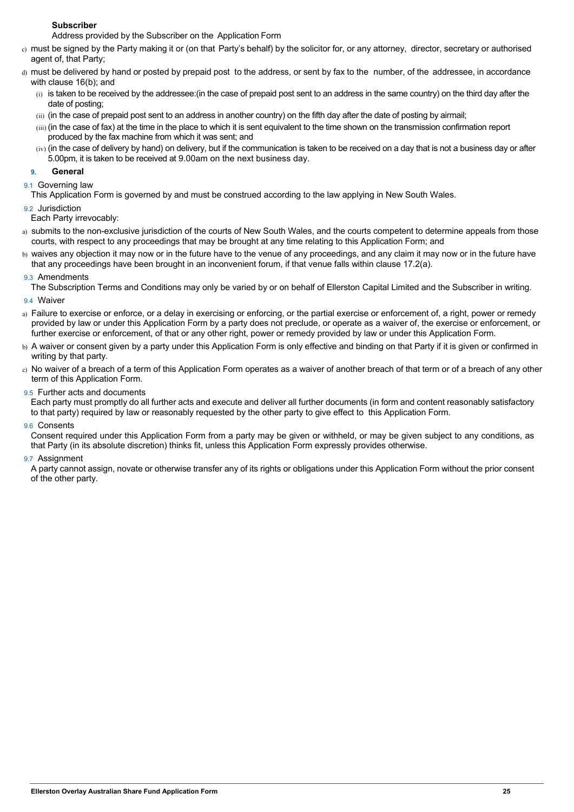#### **Subscriber**

Address provided by the Subscriber on the Application Form

- c) must be signed by the Party making it or (on that Party's behalf) by the solicitor for, or any attorney, director, secretary or authorised agent of, that Party;
- d) must be delivered by hand or posted by prepaid post to the address, or sent by fax to the number, of the addressee, in accordance with clause 16(b); and
	- $(i)$  is taken to be received by the addressee: (in the case of prepaid post sent to an address in the same country) on the third day after the date of posting;
	- (ii) (in the case of prepaid post sent to an address in another country) on the fifth day after the date of posting by airmail;
	- (iii) (in the case of fax) at the time in the place to which it is sent equivalent to the time shown on the transmission confirmation report produced by the fax machine from which it was sent; and
	- $(iv)$  (in the case of delivery by hand) on delivery, but if the communication is taken to be received on a day that is not a business day or after 5.00pm, it is taken to be received at 9.00am on the next business day.

## **9. General**

#### 9.1 Governing law

This Application Form is governed by and must be construed according to the law applying in New South Wales.

#### 9.2 Jurisdiction

Each Party irrevocably:

- a) submits to the non-exclusive jurisdiction of the courts of New South Wales, and the courts competent to determine appeals from those courts, with respect to any proceedings that may be brought at any time relating to this Application Form; and
- b) waives any objection it may now or in the future have to the venue of any proceedings, and any claim it may now or in the future have that any proceedings have been brought in an inconvenient forum, if that venue falls within clause 17.2(a).

#### 9.3 Amendments

The Subscription Terms and Conditions may only be varied by or on behalf of Ellerston Capital Limited and the Subscriber in writing.

## 9.4 Waiver

- a) Failure to exercise or enforce, or a delay in exercising or enforcing, or the partial exercise or enforcement of, a right, power or remedy provided by law or under this Application Form by a party does not preclude, or operate as a waiver of, the exercise or enforcement, or further exercise or enforcement, of that or any other right, power or remedy provided by law or under this Application Form.
- b) A waiver or consent given by a party under this Application Form is only effective and binding on that Party if it is given or confirmed in writing by that party.
- c) No waiver of a breach of a term of this Application Form operates as a waiver of another breach of that term or of a breach of any other term of this Application Form.

#### 9.5 Further acts and documents

Each party must promptly do all further acts and execute and deliver all further documents (in form and content reasonably satisfactory to that party) required by law or reasonably requested by the other party to give effect to this Application Form.

#### 9.6 Consents

Consent required under this Application Form from a party may be given or withheld, or may be given subject to any conditions, as that Party (in its absolute discretion) thinks fit, unless this Application Form expressly provides otherwise.

#### 9.7 Assignment

A party cannot assign, novate or otherwise transfer any of its rights or obligations under this Application Form without the prior consent of the other party.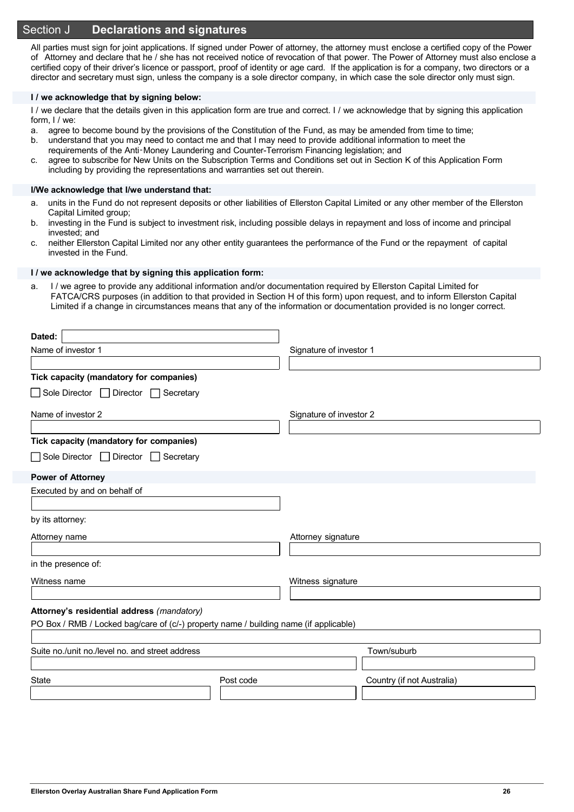## Section J **Declarations and signatures**

All parties must sign for joint applications. If signed under Power of attorney, the attorney must enclose a certified copy of the Power of Attorney and declare that he / she has not received notice of revocation of that power. The Power of Attorney must also enclose a certified copy of their driver's licence or passport, proof of identity or age card. If the application is for a company, two directors or a director and secretary must sign, unless the company is a sole director company, in which case the sole director only must sign.

#### **I / we acknowledge that by signing below:**

I / we declare that the details given in this application form are true and correct. I / we acknowledge that by signing this application form, I / we:

- a. agree to become bound by the provisions of the Constitution of the Fund, as may be amended from time to time;
- b. understand that you may need to contact me and that I may need to provide additional information to meet the requirements of the Anti‑Money Laundering and Counter-Terrorism Financing legislation; and
- c. agree to subscribe for New Units on the Subscription Terms and Conditions set out in Section K of this Application Form including by providing the representations and warranties set out therein.

#### **I/We acknowledge that I/we understand that:**

- a. units in the Fund do not represent deposits or other liabilities of Ellerston Capital Limited or any other member of the Ellerston Capital Limited group;
- b. investing in the Fund is subject to investment risk, including possible delays in repayment and loss of income and principal invested; and
- c. neither Ellerston Capital Limited nor any other entity guarantees the performance of the Fund or the repayment of capital invested in the Fund.

#### **I / we acknowledge that by signing this application form:**

a. I / we agree to provide any additional information and/or documentation required by Ellerston Capital Limited for FATCA/CRS purposes (in addition to that provided in Section H of this form) upon request, and to inform Ellerston Capital Limited if a change in circumstances means that any of the information or documentation provided is no longer correct.

| Dated:                                                                                |           |                         |                            |
|---------------------------------------------------------------------------------------|-----------|-------------------------|----------------------------|
| Name of investor 1                                                                    |           | Signature of investor 1 |                            |
|                                                                                       |           |                         |                            |
| Tick capacity (mandatory for companies)                                               |           |                         |                            |
| $\Box$ Sole Director $\Box$ Director $\Box$<br>Secretary                              |           |                         |                            |
| Name of investor 2                                                                    |           | Signature of investor 2 |                            |
| Tick capacity (mandatory for companies)                                               |           |                         |                            |
| Sole Director □ Director □ Secretary                                                  |           |                         |                            |
| <b>Power of Attorney</b>                                                              |           |                         |                            |
| Executed by and on behalf of                                                          |           |                         |                            |
|                                                                                       |           |                         |                            |
| by its attorney:                                                                      |           |                         |                            |
| Attorney name                                                                         |           | Attorney signature      |                            |
| in the presence of:                                                                   |           |                         |                            |
|                                                                                       |           |                         |                            |
| Witness name                                                                          |           | Witness signature       |                            |
| Attorney's residential address (mandatory)                                            |           |                         |                            |
| PO Box / RMB / Locked bag/care of (c/-) property name / building name (if applicable) |           |                         |                            |
|                                                                                       |           |                         |                            |
| Suite no./unit no./level no. and street address                                       |           |                         | Town/suburb                |
|                                                                                       |           |                         |                            |
| <b>State</b>                                                                          | Post code |                         | Country (if not Australia) |
|                                                                                       |           |                         |                            |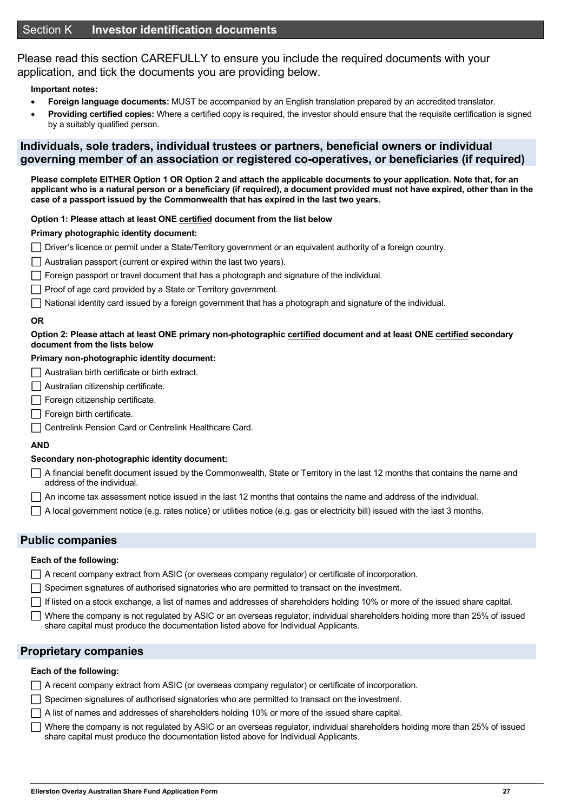Please read this section CAREFULLY to ensure you include the required documents with your application, and tick the documents you are providing below.

#### **Important notes:**

- **Foreign language documents:** MUST be accompanied by an English translation prepared by an accredited translator.
- **Providing certified copies:** Where a certified copy is required, the investor should ensure that the requisite certification is signed by a suitably qualified person.

## **Individuals, sole traders, individual trustees or partners, beneficial owners or individual governing member of an association or registered co-operatives, or beneficiaries (if required)**

**Please complete EITHER Option 1 OR Option 2 and attach the applicable documents to your application. Note that, for an applicant who is a natural person or a beneficiary (if required), a document provided must not have expired, other than in the case of a passport issued by the Commonwealth that has expired in the last two years.** 

#### **Option 1: Please attach at least ONE certified document from the list below**

#### **Primary photographic identity document:**

Driver's licence or permit under a State/Territory government or an equivalent authority of a foreign country.

- $\Box$  Australian passport (current or expired within the last two years).
- $\Box$  Foreign passport or travel document that has a photograph and signature of the individual.
- $\Box$  Proof of age card provided by a State or Territory government.
- $\Box$  National identity card issued by a foreign government that has a photograph and signature of the individual.

#### **OR**

#### **Option 2: Please attach at least ONE primary non-photographic certified document and at least ONE certified secondary document from the lists below**

## **Primary non-photographic identity document:**

- $\Box$  Australian birth certificate or birth extract.
- Australian citizenship certificate.
- $\Box$  Foreign citizenship certificate.
- $\Box$  Foreign birth certificate.
- **Centrelink Pension Card or Centrelink Healthcare Card.**

#### **AND**

#### **Secondary non-photographic identity document:**

- $\Box$  A financial benefit document issued by the Commonwealth. State or Territory in the last 12 months that contains the name and address of the individual.
- $\Box$  An income tax assessment notice issued in the last 12 months that contains the name and address of the individual.
- A local government notice (e.g. rates notice) or utilities notice (e.g. gas or electricity bill) issued with the last 3 months.

## **Public companies**

#### **Each of the following:**

- A recent company extract from ASIC (or overseas company regulator) or certificate of incorporation.
- $\Box$  Specimen signatures of authorised signatories who are permitted to transact on the investment.
- If listed on a stock exchange, a list of names and addresses of shareholders holding 10% or more of the issued share capital.
- Where the company is not regulated by ASIC or an overseas regulator, individual shareholders holding more than 25% of issued share capital must produce the documentation listed above for Individual Applicants.

#### **Proprietary companies**

#### **Each of the following:**

- A recent company extract from ASIC (or overseas company regulator) or certificate of incorporation.
- $\Box$  Specimen signatures of authorised signatories who are permitted to transact on the investment.
- $\Box$  A list of names and addresses of shareholders holding 10% or more of the issued share capital.
- $\Box$  Where the company is not regulated by ASIC or an overseas regulator, individual shareholders holding more than 25% of issued share capital must produce the documentation listed above for Individual Applicants.